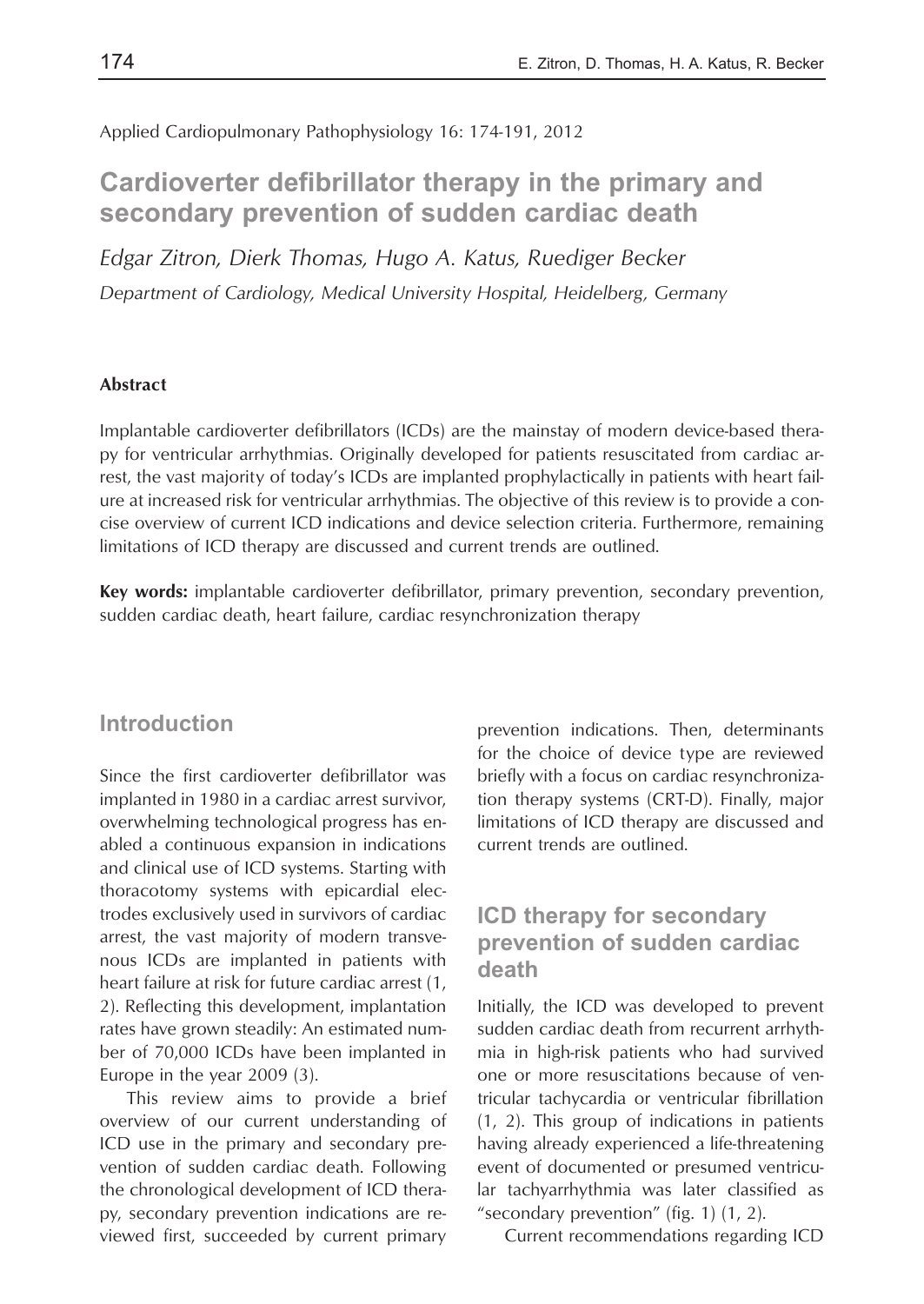Applied Cardiopulmonary Pathophysiology 16: 174-191, 2012

# **Cardioverter defibrillator therapy in the primary and secondary prevention of sudden cardiac death**

*Edgar Zitron, Dierk Thomas, Hugo A. Katus, Ruediger Becker Department of Cardiology, Medical University Hospital, Heidelberg, Germany*

#### **Abstract**

Implantable cardioverter defibrillators (ICDs) are the mainstay of modern device-based therapy for ventricular arrhythmias. Originally developed for patients resuscitated from cardiac arrest, the vast majority of today's ICDs are implanted prophylactically in patients with heart failure at increased risk for ventricular arrhythmias. The objective of this review is to provide a concise overview of current ICD indications and device selection criteria. Furthermore, remaining limitations of ICD therapy are discussed and current trends are outlined.

**Key words:** implantable cardioverter defibrillator, primary prevention, secondary prevention, sudden cardiac death, heart failure, cardiac resynchronization therapy

#### **Introduction**

Since the first cardioverter defibrillator was implanted in 1980 in a cardiac arrest survivor, overwhelming technological progress has enabled a continuous expansion in indications and clinical use of ICD systems. Starting with thoracotomy systems with epicardial electrodes exclusively used in survivors of cardiac arrest, the vast majority of modern transvenous ICDs are implanted in patients with heart failure at risk for future cardiac arrest (1, 2). Reflecting this development, implantation rates have grown steadily: An estimated number of 70,000 ICDs have been implanted in Europe in the year 2009 (3).

This review aims to provide a brief overview of our current understanding of ICD use in the primary and secondary prevention of sudden cardiac death. Following the chronological development of ICD therapy, secondary prevention indications are reviewed first, succeeded by current primary prevention indications. Then, determinants for the choice of device type are reviewed briefly with a focus on cardiac resynchronization therapy systems (CRT-D). Finally, major limitations of ICD therapy are discussed and current trends are outlined.

## **ICD therapy for secondary prevention of sudden cardiac death**

Initially, the ICD was developed to prevent sudden cardiac death from recurrent arrhythmia in high-risk patients who had survived one or more resuscitations because of ventricular tachycardia or ventricular fibrillation (1, 2). This group of indications in patients having already experienced a life-threatening event of documented or presumed ventricular tachyarrhythmia was later classified as "secondary prevention" (fig. 1) (1, 2).

Current recommendations regarding ICD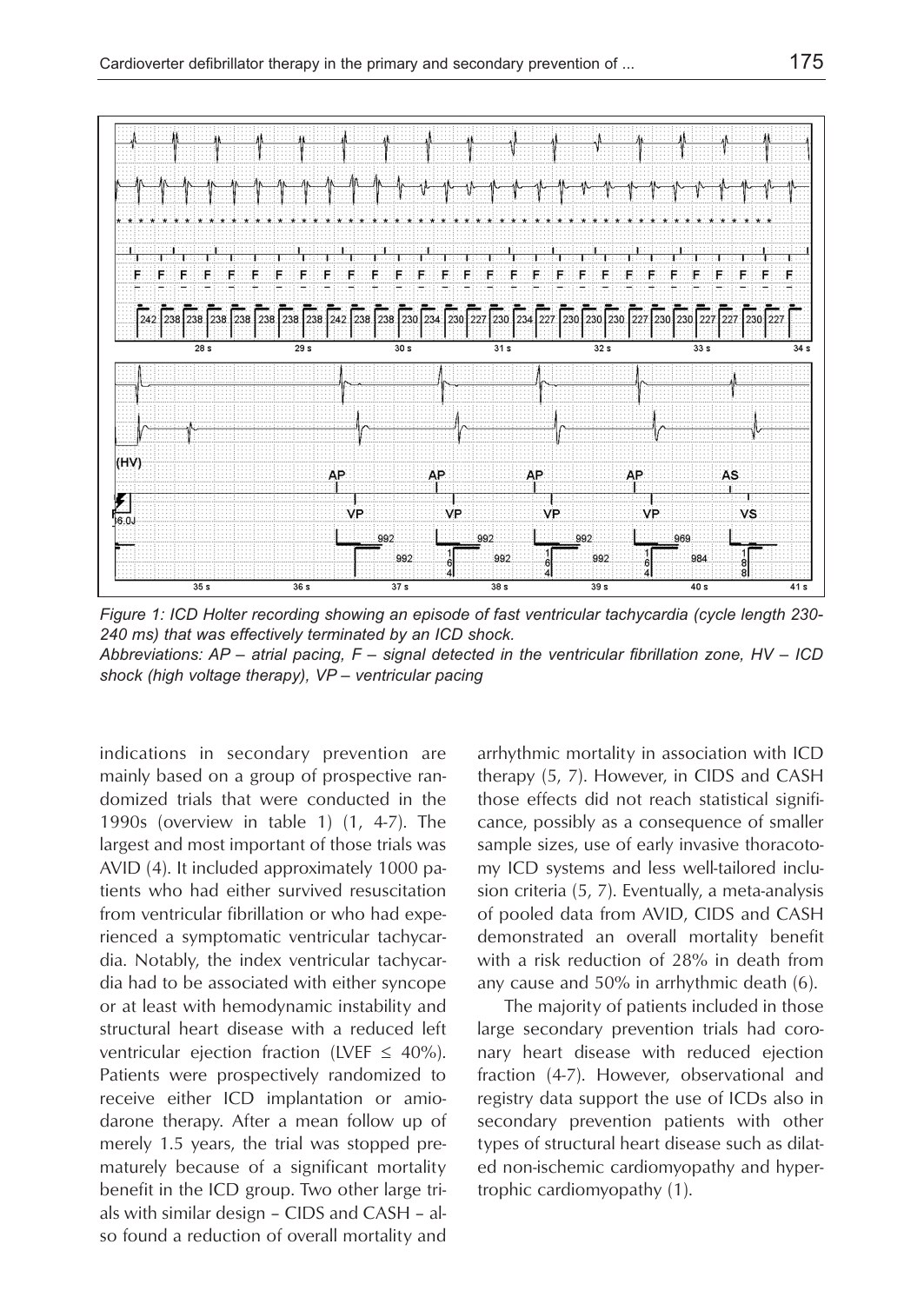

*Figure 1: ICD Holter recording showing an episode of fast ventricular tachycardia (cycle length 230- 240 ms) that was effectively terminated by an ICD shock. Abbreviations: AP – atrial pacing, F – signal detected in the ventricular fibrillation zone, HV – ICD shock (high voltage therapy), VP – ventricular pacing*

indications in secondary prevention are mainly based on a group of prospective randomized trials that were conducted in the 1990s (overview in table 1) (1, 4-7). The largest and most important of those trials was AVID (4). It included approximately 1000 patients who had either survived resuscitation from ventricular fibrillation or who had experienced a symptomatic ventricular tachycardia. Notably, the index ventricular tachycardia had to be associated with either syncope or at least with hemodynamic instability and structural heart disease with a reduced left ventricular ejection fraction (LVEF  $\leq$  40%). Patients were prospectively randomized to receive either ICD implantation or amiodarone therapy. After a mean follow up of merely 1.5 years, the trial was stopped prematurely because of a significant mortality benefit in the ICD group. Two other large trials with similar design – CIDS and CASH – also found a reduction of overall mortality and arrhythmic mortality in association with ICD therapy (5, 7). However, in CIDS and CASH those effects did not reach statistical significance, possibly as a consequence of smaller sample sizes, use of early invasive thoracotomy ICD systems and less well-tailored inclusion criteria (5, 7). Eventually, a meta-analysis of pooled data from AVID, CIDS and CASH demonstrated an overall mortality benefit with a risk reduction of 28% in death from any cause and 50% in arrhythmic death (6).

The majority of patients included in those large secondary prevention trials had coronary heart disease with reduced ejection fraction (4-7). However, observational and registry data support the use of ICDs also in secondary prevention patients with other types of structural heart disease such as dilated non-ischemic cardiomyopathy and hypertrophic cardiomyopathy (1).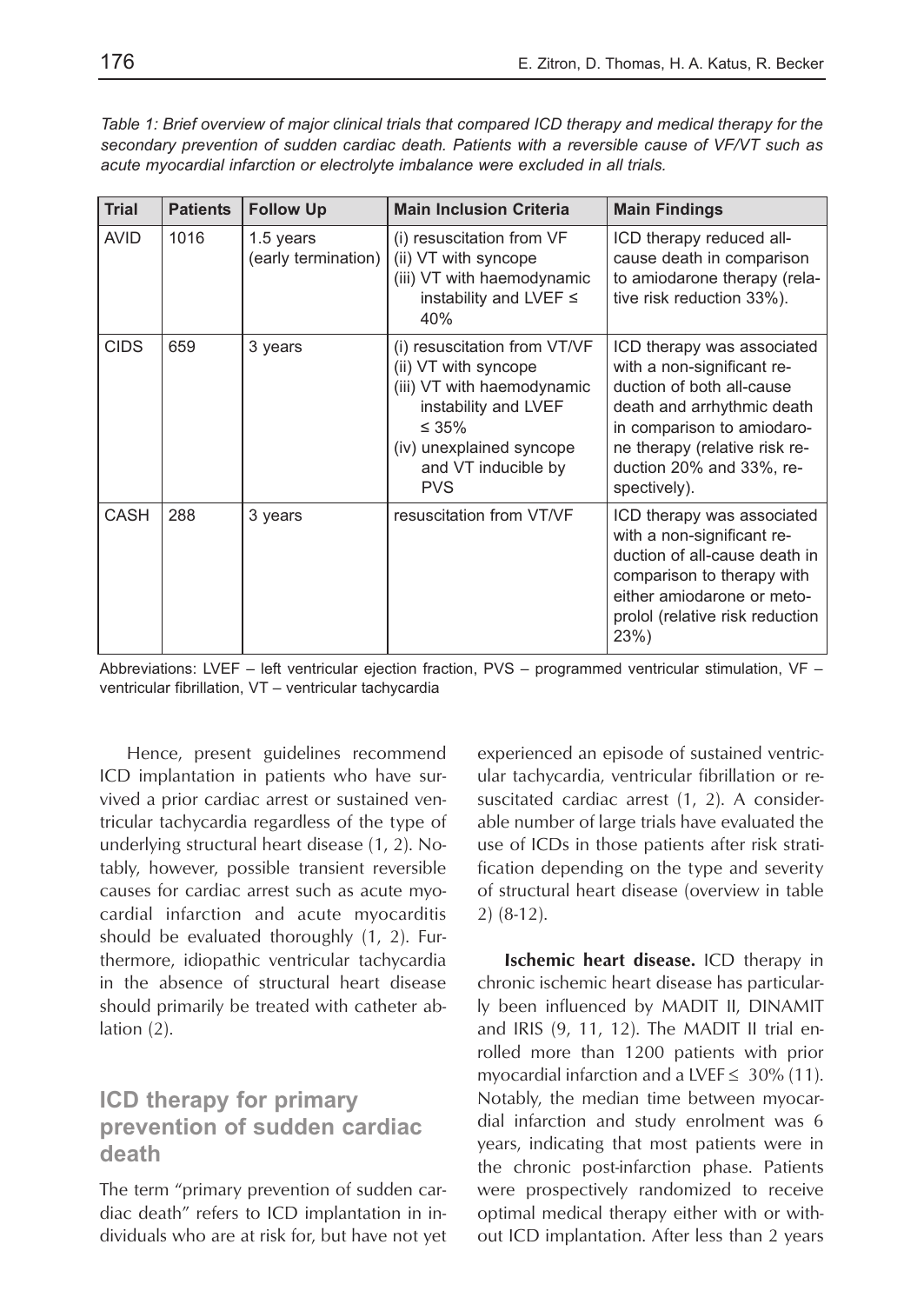*Table 1: Brief overview of major clinical trials that compared ICD therapy and medical therapy for the secondary prevention of sudden cardiac death. Patients with a reversible cause of VF/VT such as acute myocardial infarction or electrolyte imbalance were excluded in all trials.*

| <b>Trial</b> | <b>Patients</b> | <b>Follow Up</b>                 | <b>Main Inclusion Criteria</b>                                                                                                                                                             | <b>Main Findings</b>                                                                                                                                                                                                           |
|--------------|-----------------|----------------------------------|--------------------------------------------------------------------------------------------------------------------------------------------------------------------------------------------|--------------------------------------------------------------------------------------------------------------------------------------------------------------------------------------------------------------------------------|
| <b>AVID</b>  | 1016            | 1.5 years<br>(early termination) | (i) resuscitation from VF<br>(ii) VT with syncope<br>(iii) VT with haemodynamic<br>instability and LVEF $\leq$<br>40%                                                                      | ICD therapy reduced all-<br>cause death in comparison<br>to amiodarone therapy (rela-<br>tive risk reduction 33%).                                                                                                             |
| <b>CIDS</b>  | 659             | 3 years                          | (i) resuscitation from VT/VF<br>(ii) VT with syncope<br>(iii) VT with haemodynamic<br>instability and LVEF<br>$\leq 35\%$<br>(iv) unexplained syncope<br>and VT inducible by<br><b>PVS</b> | ICD therapy was associated<br>with a non-significant re-<br>duction of both all-cause<br>death and arrhythmic death<br>in comparison to amiodaro-<br>ne therapy (relative risk re-<br>duction 20% and 33%, re-<br>spectively). |
| CASH         | 288             | 3 years                          | resuscitation from VT/VF                                                                                                                                                                   | ICD therapy was associated<br>with a non-significant re-<br>duction of all-cause death in<br>comparison to therapy with<br>either amiodarone or meto-<br>prolol (relative risk reduction<br>23%                                |

Abbreviations: LVEF – left ventricular ejection fraction, PVS – programmed ventricular stimulation, VF – ventricular fibrillation, VT – ventricular tachycardia

Hence, present guidelines recommend ICD implantation in patients who have survived a prior cardiac arrest or sustained ventricular tachycardia regardless of the type of underlying structural heart disease (1, 2). Notably, however, possible transient reversible causes for cardiac arrest such as acute myocardial infarction and acute myocarditis should be evaluated thoroughly (1, 2). Furthermore, idiopathic ventricular tachycardia in the absence of structural heart disease should primarily be treated with catheter ablation (2).

## **ICD therapy for primary prevention of sudden cardiac death**

The term "primary prevention of sudden cardiac death" refers to ICD implantation in individuals who are at risk for, but have not yet experienced an episode of sustained ventricular tachycardia, ventricular fibrillation or resuscitated cardiac arrest (1, 2). A considerable number of large trials have evaluated the use of ICDs in those patients after risk stratification depending on the type and severity of structural heart disease (overview in table 2) (8-12).

**Ischemic heart disease.** ICD therapy in chronic ischemic heart disease has particularly been influenced by MADIT II, DINAMIT and IRIS (9, 11, 12). The MADIT II trial enrolled more than 1200 patients with prior myocardial infarction and a LVEF  $\leq 30\%$  (11). Notably, the median time between myocardial infarction and study enrolment was 6 years, indicating that most patients were in the chronic post-infarction phase. Patients were prospectively randomized to receive optimal medical therapy either with or without ICD implantation. After less than 2 years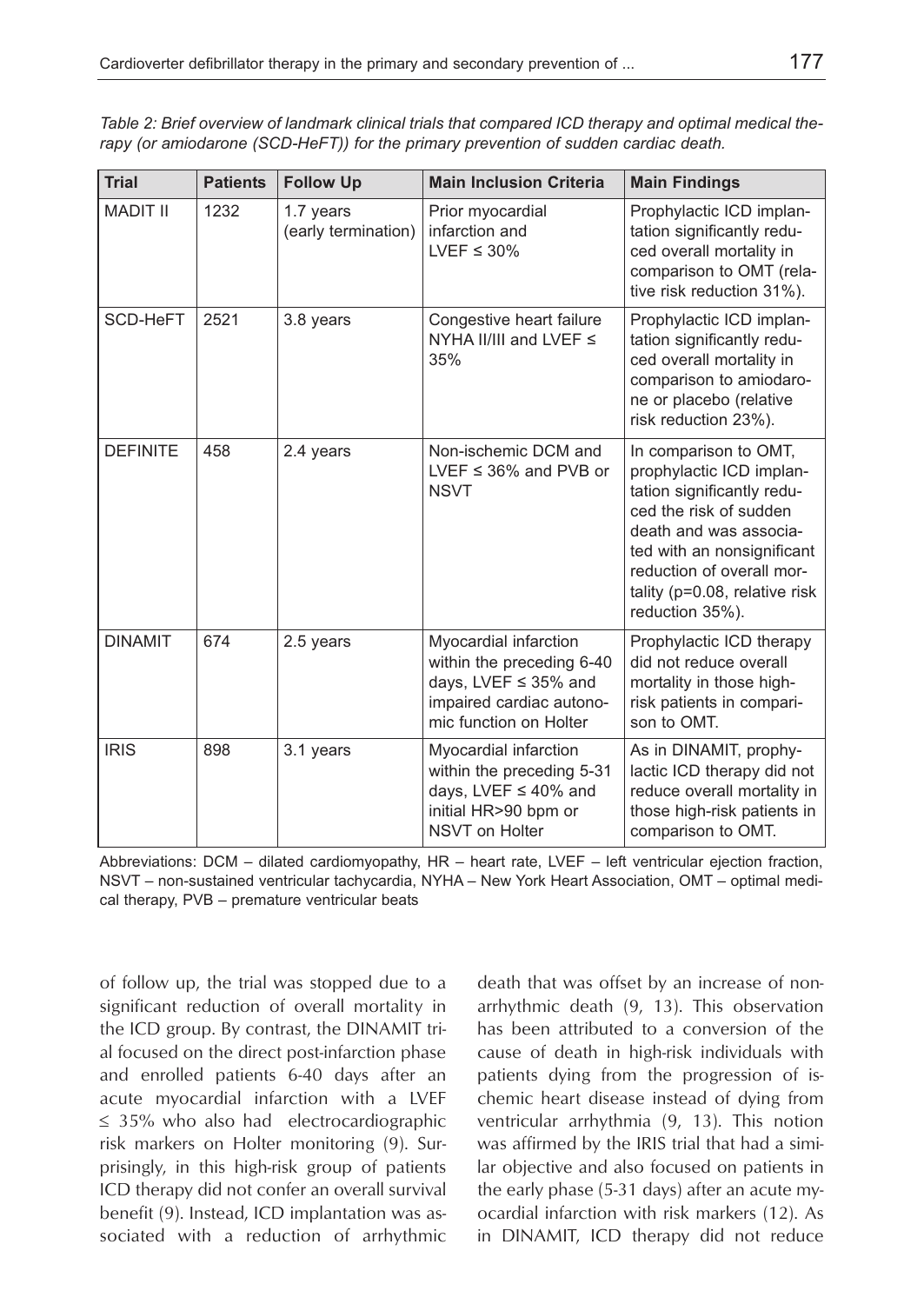| <b>Trial</b>    | <b>Patients</b> | <b>Follow Up</b>                 | <b>Main Inclusion Criteria</b>                                                                                                   | <b>Main Findings</b>                                                                                                                                                                                                                                   |
|-----------------|-----------------|----------------------------------|----------------------------------------------------------------------------------------------------------------------------------|--------------------------------------------------------------------------------------------------------------------------------------------------------------------------------------------------------------------------------------------------------|
| <b>MADIT II</b> | 1232            | 1.7 years<br>(early termination) | Prior myocardial<br>infarction and<br>LVEF $\leq$ 30%                                                                            | Prophylactic ICD implan-<br>tation significantly redu-<br>ced overall mortality in<br>comparison to OMT (rela-<br>tive risk reduction 31%).                                                                                                            |
| SCD-HeFT        | 2521            | 3.8 years                        | Congestive heart failure<br>NYHA II/III and LVEF $\leq$<br>35%                                                                   | Prophylactic ICD implan-<br>tation significantly redu-<br>ced overall mortality in<br>comparison to amiodaro-<br>ne or placebo (relative<br>risk reduction 23%).                                                                                       |
| <b>DEFINITE</b> | 458             | 2.4 years                        | Non-ischemic DCM and<br>LVEF $\leq$ 36% and PVB or<br><b>NSVT</b>                                                                | In comparison to OMT,<br>prophylactic ICD implan-<br>tation significantly redu-<br>ced the risk of sudden<br>death and was associa-<br>ted with an nonsignificant<br>reduction of overall mor-<br>tality ( $p=0.08$ , relative risk<br>reduction 35%). |
| <b>DINAMIT</b>  | 674             | 2.5 years                        | Myocardial infarction<br>within the preceding 6-40<br>days, LVEF ≤ 35% and<br>impaired cardiac autono-<br>mic function on Holter | Prophylactic ICD therapy<br>did not reduce overall<br>mortality in those high-<br>risk patients in compari-<br>son to OMT.                                                                                                                             |
| <b>IRIS</b>     | 898             | 3.1 years                        | Myocardial infarction<br>within the preceding 5-31<br>days, LVEF $\leq$ 40% and<br>initial HR>90 bpm or<br>NSVT on Holter        | As in DINAMIT, prophy-<br>lactic ICD therapy did not<br>reduce overall mortality in<br>those high-risk patients in<br>comparison to OMT.                                                                                                               |

*Table 2: Brief overview of landmark clinical trials that compared ICD therapy and optimal medical therapy (or amiodarone (SCD-HeFT)) for the primary prevention of sudden cardiac death.*

Abbreviations: DCM – dilated cardiomyopathy, HR – heart rate, LVEF – left ventricular ejection fraction, NSVT – non-sustained ventricular tachycardia, NYHA – New York Heart Association, OMT – optimal medical therapy, PVB – premature ventricular beats

of follow up, the trial was stopped due to a significant reduction of overall mortality in the ICD group. By contrast, the DINAMIT trial focused on the direct post-infarction phase and enrolled patients 6-40 days after an acute myocardial infarction with a LVEF ≤ 35% who also had electrocardiographic risk markers on Holter monitoring (9). Surprisingly, in this high-risk group of patients ICD therapy did not confer an overall survival benefit (9). Instead, ICD implantation was associated with a reduction of arrhythmic death that was offset by an increase of nonarrhythmic death (9, 13). This observation has been attributed to a conversion of the cause of death in high-risk individuals with patients dying from the progression of ischemic heart disease instead of dying from ventricular arrhythmia (9, 13). This notion was affirmed by the IRIS trial that had a similar objective and also focused on patients in the early phase (5-31 days) after an acute myocardial infarction with risk markers (12). As in DINAMIT, ICD therapy did not reduce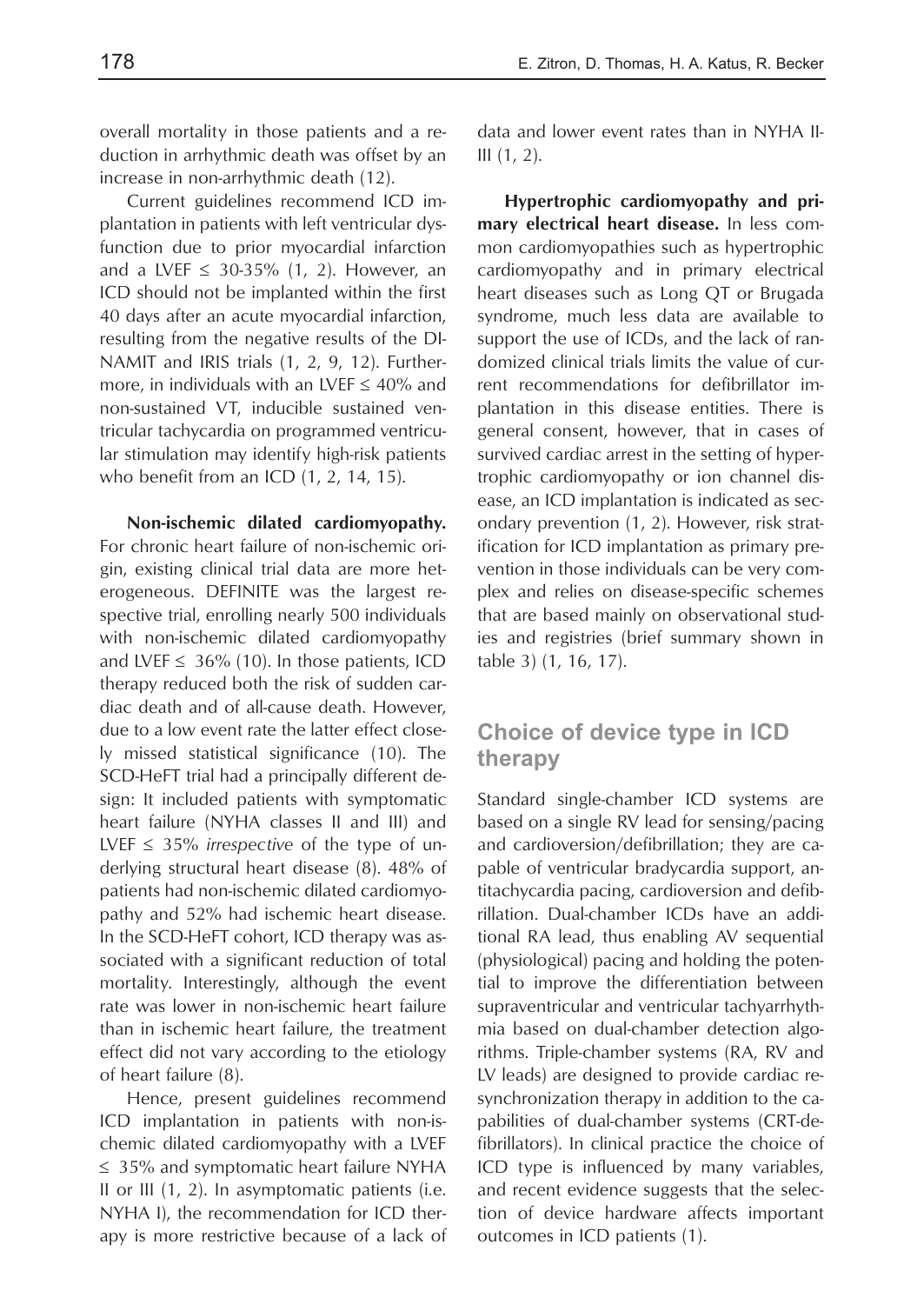overall mortality in those patients and a reduction in arrhythmic death was offset by an increase in non-arrhythmic death (12).

Current guidelines recommend ICD implantation in patients with left ventricular dysfunction due to prior myocardial infarction and a LVEF  $\leq$  30-35% (1, 2). However, an ICD should not be implanted within the first 40 days after an acute myocardial infarction, resulting from the negative results of the DI-NAMIT and IRIS trials (1, 2, 9, 12). Furthermore, in individuals with an LVEF  $\leq 40\%$  and non-sustained VT, inducible sustained ventricular tachycardia on programmed ventricular stimulation may identify high-risk patients who benefit from an ICD (1, 2, 14, 15).

**Non-ischemic dilated cardiomyopathy.** For chronic heart failure of non-ischemic origin, existing clinical trial data are more heterogeneous. DEFINITE was the largest respective trial, enrolling nearly 500 individuals with non-ischemic dilated cardiomyopathy and LVEF  $\leq$  36% (10). In those patients, ICD therapy reduced both the risk of sudden cardiac death and of all-cause death. However, due to a low event rate the latter effect closely missed statistical significance (10). The SCD-HeFT trial had a principally different design: It included patients with symptomatic heart failure (NYHA classes II and III) and LVEF ≤ 35% *irrespective* of the type of underlying structural heart disease (8). 48% of patients had non-ischemic dilated cardiomyopathy and 52% had ischemic heart disease. In the SCD-HeFT cohort, ICD therapy was associated with a significant reduction of total mortality. Interestingly, although the event rate was lower in non-ischemic heart failure than in ischemic heart failure, the treatment effect did not vary according to the etiology of heart failure (8).

Hence, present guidelines recommend ICD implantation in patients with non-ischemic dilated cardiomyopathy with a LVEF ≤ 35% and symptomatic heart failure NYHA II or III (1, 2). In asymptomatic patients (i.e. NYHA I), the recommendation for ICD therapy is more restrictive because of a lack of data and lower event rates than in NYHA II-III (1, 2).

**Hypertrophic cardiomyopathy and primary electrical heart disease.** In less common cardiomyopathies such as hypertrophic cardiomyopathy and in primary electrical heart diseases such as Long QT or Brugada syndrome, much less data are available to support the use of ICDs, and the lack of randomized clinical trials limits the value of current recommendations for defibrillator implantation in this disease entities. There is general consent, however, that in cases of survived cardiac arrest in the setting of hypertrophic cardiomyopathy or ion channel disease, an ICD implantation is indicated as secondary prevention (1, 2). However, risk stratification for ICD implantation as primary prevention in those individuals can be very complex and relies on disease-specific schemes that are based mainly on observational studies and registries (brief summary shown in table 3) (1, 16, 17).

#### **Choice of device type in ICD therapy**

Standard single-chamber ICD systems are based on a single RV lead for sensing/pacing and cardioversion/defibrillation; they are capable of ventricular bradycardia support, antitachycardia pacing, cardioversion and defibrillation. Dual-chamber ICDs have an additional RA lead, thus enabling AV sequential (physiological) pacing and holding the potential to improve the differentiation between supraventricular and ventricular tachyarrhythmia based on dual-chamber detection algorithms. Triple-chamber systems (RA, RV and LV leads) are designed to provide cardiac resynchronization therapy in addition to the capabilities of dual-chamber systems (CRT-defibrillators). In clinical practice the choice of ICD type is influenced by many variables, and recent evidence suggests that the selection of device hardware affects important outcomes in ICD patients (1).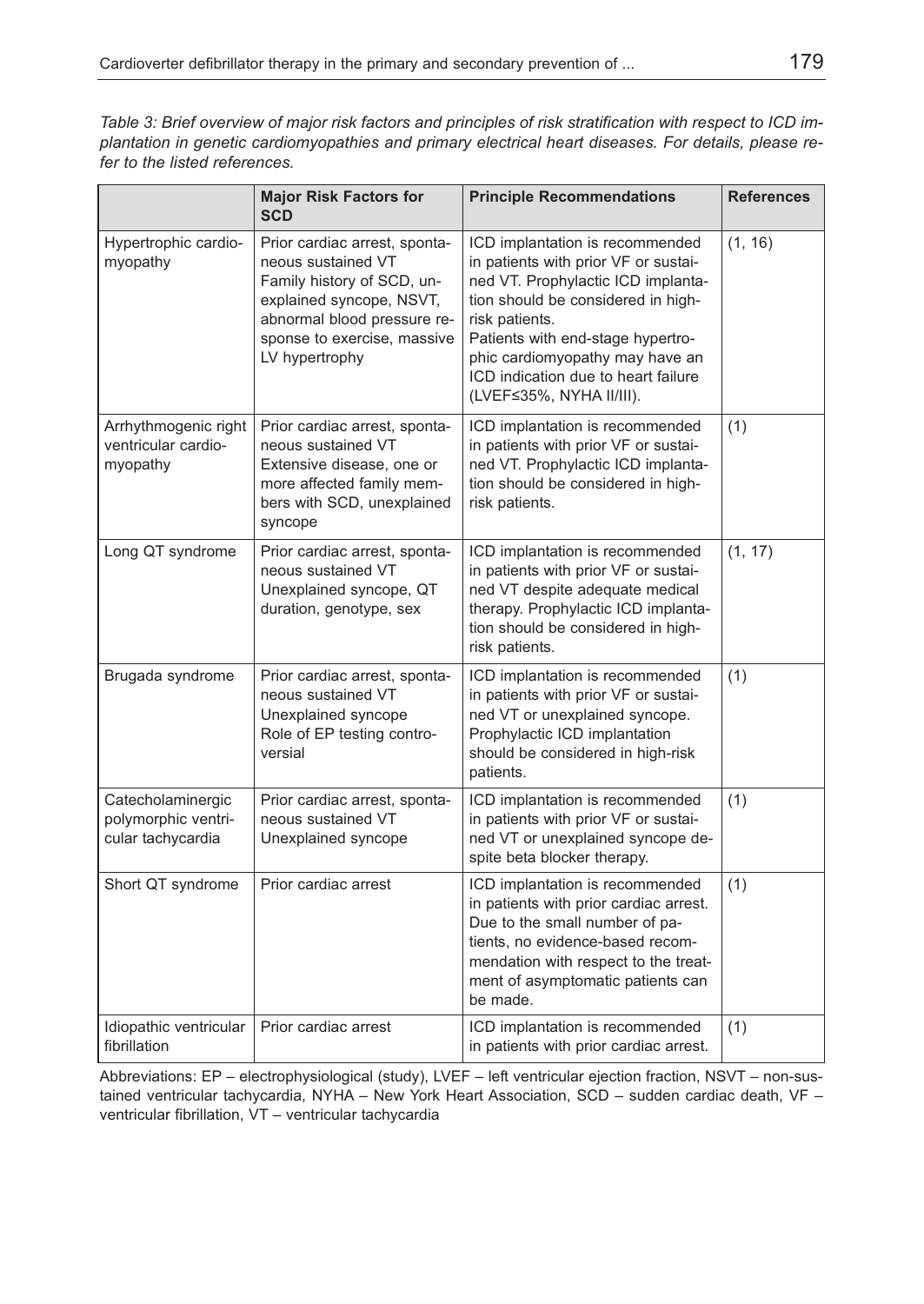*Table 3: Brief overview of major risk factors and principles of risk stratification with respect to ICD implantation in genetic cardiomyopathies and primary electrical heart diseases. For details, please refer to the listed references.*

|                                                               | <b>Major Risk Factors for</b><br><b>SCD</b>                                                                                                                                                   | <b>Principle Recommendations</b>                                                                                                                                                                                                                                                                                 | <b>References</b> |
|---------------------------------------------------------------|-----------------------------------------------------------------------------------------------------------------------------------------------------------------------------------------------|------------------------------------------------------------------------------------------------------------------------------------------------------------------------------------------------------------------------------------------------------------------------------------------------------------------|-------------------|
| Hypertrophic cardio-<br>myopathy                              | Prior cardiac arrest, sponta-<br>neous sustained VT<br>Family history of SCD, un-<br>explained syncope, NSVT,<br>abnormal blood pressure re-<br>sponse to exercise, massive<br>LV hypertrophy | ICD implantation is recommended<br>in patients with prior VF or sustai-<br>ned VT. Prophylactic ICD implanta-<br>tion should be considered in high-<br>risk patients.<br>Patients with end-stage hypertro-<br>phic cardiomyopathy may have an<br>ICD indication due to heart failure<br>(LVEF≤35%, NYHA II/III). | (1, 16)           |
| Arrhythmogenic right<br>ventricular cardio-<br>myopathy       | Prior cardiac arrest, sponta-<br>neous sustained VT<br>Extensive disease, one or<br>more affected family mem-<br>bers with SCD, unexplained<br>syncope                                        | ICD implantation is recommended<br>in patients with prior VF or sustai-<br>ned VT. Prophylactic ICD implanta-<br>tion should be considered in high-<br>risk patients.                                                                                                                                            | (1)               |
| Long QT syndrome                                              | Prior cardiac arrest, sponta-<br>neous sustained VT<br>Unexplained syncope, QT<br>duration, genotype, sex                                                                                     | ICD implantation is recommended<br>in patients with prior VF or sustai-<br>ned VT despite adequate medical<br>therapy. Prophylactic ICD implanta-<br>tion should be considered in high-<br>risk patients.                                                                                                        | (1, 17)           |
| Brugada syndrome                                              | Prior cardiac arrest, sponta-<br>neous sustained VT<br>Unexplained syncope<br>Role of EP testing contro-<br>versial                                                                           | ICD implantation is recommended<br>in patients with prior VF or sustai-<br>ned VT or unexplained syncope.<br>Prophylactic ICD implantation<br>should be considered in high-risk<br>patients.                                                                                                                     | (1)               |
| Catecholaminergic<br>polymorphic ventri-<br>cular tachycardia | Prior cardiac arrest, sponta-<br>neous sustained VT<br>Unexplained syncope                                                                                                                    | ICD implantation is recommended<br>in patients with prior VF or sustai-<br>ned VT or unexplained syncope de-<br>spite beta blocker therapy.                                                                                                                                                                      | (1)               |
| Short QT syndrome                                             | Prior cardiac arrest                                                                                                                                                                          | ICD implantation is recommended<br>in patients with prior cardiac arrest.<br>Due to the small number of pa-<br>tients, no evidence-based recom-<br>mendation with respect to the treat-<br>ment of asymptomatic patients can<br>be made.                                                                         | (1)               |
| Idiopathic ventricular<br>fibrillation                        | Prior cardiac arrest                                                                                                                                                                          | ICD implantation is recommended<br>in patients with prior cardiac arrest.                                                                                                                                                                                                                                        | (1)               |

Abbreviations: EP – electrophysiological (study), LVEF – left ventricular ejection fraction, NSVT – non-sustained ventricular tachycardia, NYHA – New York Heart Association, SCD – sudden cardiac death, VF – ventricular fibrillation, VT – ventricular tachycardia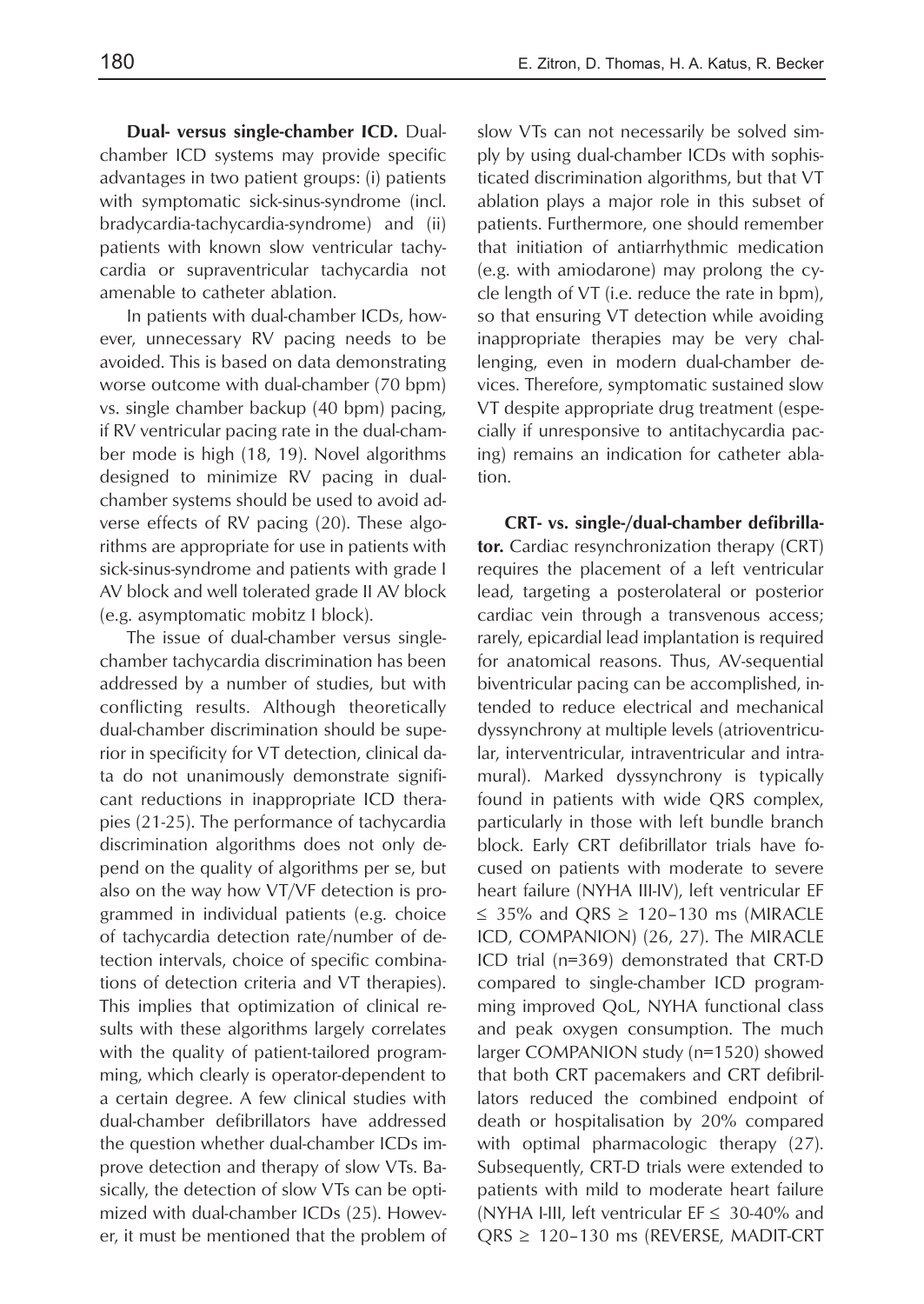**Dual- versus single-chamber ICD.** Dualchamber ICD systems may provide specific advantages in two patient groups: (i) patients with symptomatic sick-sinus-syndrome (incl. bradycardia-tachycardia-syndrome) and (ii) patients with known slow ventricular tachycardia or supraventricular tachycardia not amenable to catheter ablation.

In patients with dual-chamber ICDs, however, unnecessary RV pacing needs to be avoided. This is based on data demonstrating worse outcome with dual-chamber (70 bpm) vs. single chamber backup (40 bpm) pacing, if RV ventricular pacing rate in the dual-chamber mode is high (18, 19). Novel algorithms designed to minimize RV pacing in dualchamber systems should be used to avoid adverse effects of RV pacing (20). These algorithms are appropriate for use in patients with sick-sinus-syndrome and patients with grade I AV block and well tolerated grade II AV block (e.g. asymptomatic mobitz I block).

The issue of dual-chamber versus singlechamber tachycardia discrimination has been addressed by a number of studies, but with conflicting results. Although theoretically dual-chamber discrimination should be superior in specificity for VT detection, clinical data do not unanimously demonstrate significant reductions in inappropriate ICD therapies (21-25). The performance of tachycardia discrimination algorithms does not only depend on the quality of algorithms per se, but also on the way how VT/VF detection is programmed in individual patients (e.g. choice of tachycardia detection rate/number of detection intervals, choice of specific combinations of detection criteria and VT therapies). This implies that optimization of clinical results with these algorithms largely correlates with the quality of patient-tailored programming, which clearly is operator-dependent to a certain degree. A few clinical studies with dual-chamber defibrillators have addressed the question whether dual-chamber ICDs improve detection and therapy of slow VTs. Basically, the detection of slow VTs can be optimized with dual-chamber ICDs (25). However, it must be mentioned that the problem of slow VTs can not necessarily be solved simply by using dual-chamber ICDs with sophisticated discrimination algorithms, but that VT ablation plays a major role in this subset of patients. Furthermore, one should remember that initiation of antiarrhythmic medication (e.g. with amiodarone) may prolong the cycle length of VT (i.e. reduce the rate in bpm), so that ensuring VT detection while avoiding inappropriate therapies may be very challenging, even in modern dual-chamber devices. Therefore, symptomatic sustained slow VT despite appropriate drug treatment (especially if unresponsive to antitachycardia pacing) remains an indication for catheter ablation.

**CRT- vs. single-/dual-chamber defibrillator.** Cardiac resynchronization therapy (CRT) requires the placement of a left ventricular lead, targeting a posterolateral or posterior cardiac vein through a transvenous access; rarely, epicardial lead implantation is required for anatomical reasons. Thus, AV-sequential biventricular pacing can be accomplished, intended to reduce electrical and mechanical dyssynchrony at multiple levels (atrioventricular, interventricular, intraventricular and intramural). Marked dyssynchrony is typically found in patients with wide QRS complex, particularly in those with left bundle branch block. Early CRT defibrillator trials have focused on patients with moderate to severe heart failure (NYHA III-IV), left ventricular EF ≤ 35% and QRS ≥ 120–130 ms (MIRACLE ICD, COMPANION) (26, 27). The MIRACLE ICD trial (n=369) demonstrated that CRT-D compared to single-chamber ICD programming improved QoL, NYHA functional class and peak oxygen consumption. The much larger COMPANION study (n=1520) showed that both CRT pacemakers and CRT defibrillators reduced the combined endpoint of death or hospitalisation by 20% compared with optimal pharmacologic therapy (27). Subsequently, CRT-D trials were extended to patients with mild to moderate heart failure (NYHA I-III, left ventricular EF  $\leq 30$ -40% and QRS ≥ 120–130 ms (REVERSE, MADIT-CRT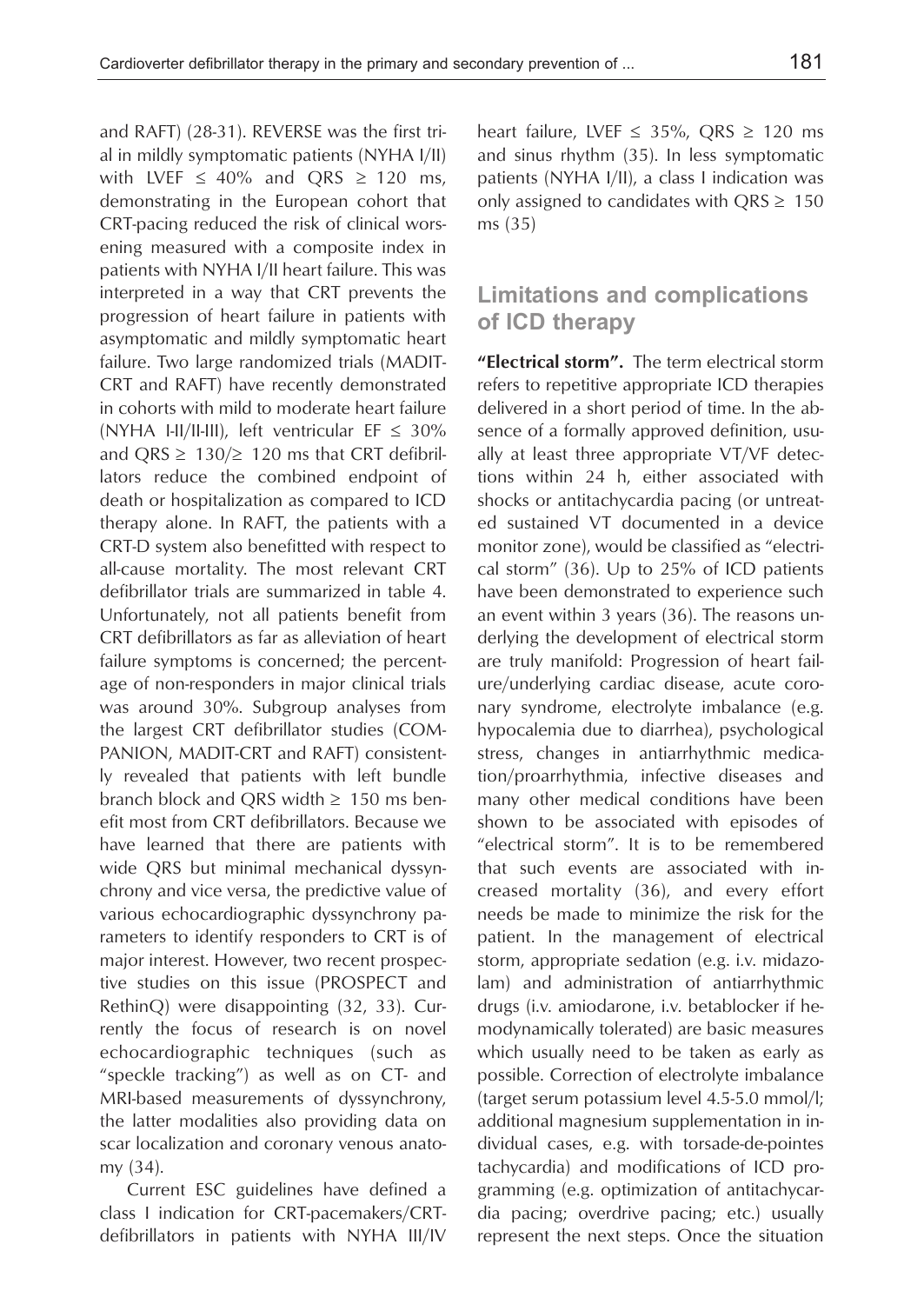and RAFT) (28-31). REVERSE was the first trial in mildly symptomatic patients (NYHA I/II) with LVEF  $\leq$  40% and QRS  $\geq$  120 ms, demonstrating in the European cohort that CRT-pacing reduced the risk of clinical worsening measured with a composite index in patients with NYHA I/II heart failure. This was interpreted in a way that CRT prevents the progression of heart failure in patients with asymptomatic and mildly symptomatic heart failure. Two large randomized trials (MADIT-CRT and RAFT) have recently demonstrated in cohorts with mild to moderate heart failure (NYHA I-II/II-III), left ventricular EF  $\leq 30\%$ and ORS  $\geq$  130/ $\geq$  120 ms that CRT defibrillators reduce the combined endpoint of death or hospitalization as compared to ICD therapy alone. In RAFT, the patients with a CRT-D system also benefitted with respect to all-cause mortality. The most relevant CRT defibrillator trials are summarized in table 4. Unfortunately, not all patients benefit from CRT defibrillators as far as alleviation of heart failure symptoms is concerned; the percentage of non-responders in major clinical trials was around 30%. Subgroup analyses from the largest CRT defibrillator studies (COM-PANION, MADIT-CRT and RAFT) consistently revealed that patients with left bundle branch block and QRS width  $\geq$  150 ms benefit most from CRT defibrillators. Because we have learned that there are patients with wide QRS but minimal mechanical dyssynchrony and vice versa, the predictive value of various echocardiographic dyssynchrony parameters to identify responders to CRT is of major interest. However, two recent prospective studies on this issue (PROSPECT and RethinQ) were disappointing (32, 33). Currently the focus of research is on novel echocardiographic techniques (such as "speckle tracking") as well as on CT- and MRI-based measurements of dyssynchrony, the latter modalities also providing data on scar localization and coronary venous anatomy (34).

Current ESC guidelines have defined a class I indication for CRT-pacemakers/CRTdefibrillators in patients with NYHA III/IV heart failure, LVEF  $\leq$  35%, QRS  $\geq$  120 ms and sinus rhythm (35). In less symptomatic patients (NYHA I/II), a class I indication was only assigned to candidates with  $QRS \geq 150$ ms (35)

#### **Limitations and complications of ICD therapy**

**"Electrical storm".** The term electrical storm refers to repetitive appropriate ICD therapies delivered in a short period of time. In the absence of a formally approved definition, usually at least three appropriate VT/VF detections within 24 h, either associated with shocks or antitachycardia pacing (or untreated sustained VT documented in a device monitor zone), would be classified as "electrical storm" (36). Up to 25% of ICD patients have been demonstrated to experience such an event within 3 years (36). The reasons underlying the development of electrical storm are truly manifold: Progression of heart failure/underlying cardiac disease, acute coronary syndrome, electrolyte imbalance (e.g. hypocalemia due to diarrhea), psychological stress, changes in antiarrhythmic medication/proarrhythmia, infective diseases and many other medical conditions have been shown to be associated with episodes of "electrical storm". It is to be remembered that such events are associated with increased mortality (36), and every effort needs be made to minimize the risk for the patient. In the management of electrical storm, appropriate sedation (e.g. i.v. midazolam) and administration of antiarrhythmic drugs (i.v. amiodarone, i.v. betablocker if hemodynamically tolerated) are basic measures which usually need to be taken as early as possible. Correction of electrolyte imbalance (target serum potassium level 4.5-5.0 mmol/l; additional magnesium supplementation in individual cases, e.g. with torsade-de-pointes tachycardia) and modifications of ICD programming (e.g. optimization of antitachycardia pacing; overdrive pacing; etc.) usually represent the next steps. Once the situation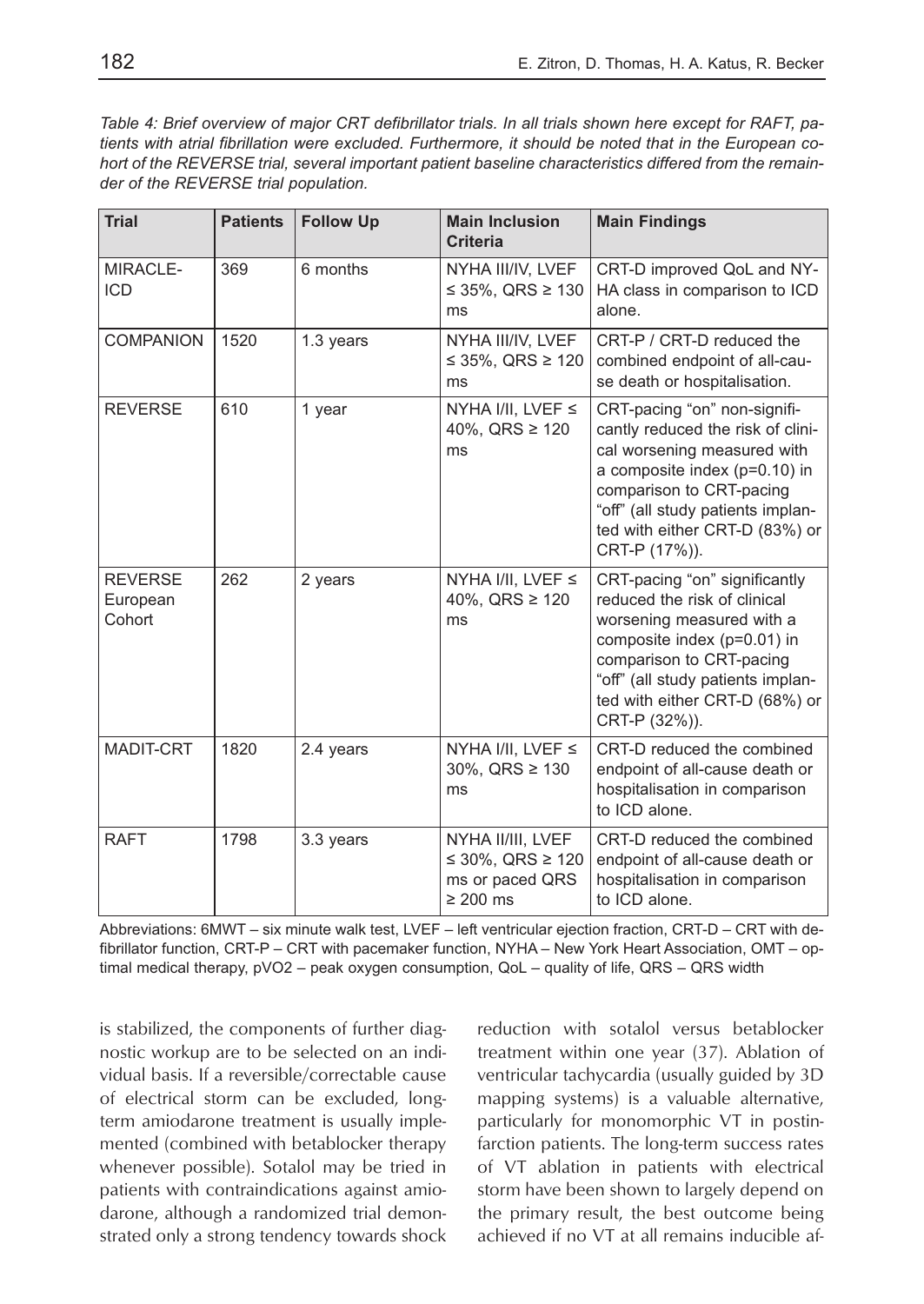| <b>Trial</b>                         | <b>Patients</b> | <b>Follow Up</b> | <b>Main Inclusion</b><br><b>Criteria</b>                                  | <b>Main Findings</b>                                                                                                                                                                                                                                    |
|--------------------------------------|-----------------|------------------|---------------------------------------------------------------------------|---------------------------------------------------------------------------------------------------------------------------------------------------------------------------------------------------------------------------------------------------------|
| MIRACLE-<br><b>ICD</b>               | 369             | 6 months         | NYHA III/IV, LVEF<br>≤ 35%, QRS ≥ 130<br>ms                               | CRT-D improved QoL and NY-<br>HA class in comparison to ICD<br>alone.                                                                                                                                                                                   |
| COMPANION                            | 1520            | 1.3 years        | NYHA III/IV, LVEF<br>≤ 35%, QRS ≥ 120<br>ms                               | CRT-P / CRT-D reduced the<br>combined endpoint of all-cau-<br>se death or hospitalisation.                                                                                                                                                              |
| <b>REVERSE</b>                       | 610             | 1 year           | NYHA I/II, LVEF $\leq$<br>40%, QRS $\geq$ 120<br>ms                       | CRT-pacing "on" non-signifi-<br>cantly reduced the risk of clini-<br>cal worsening measured with<br>a composite index $(p=0.10)$ in<br>comparison to CRT-pacing<br>"off" (all study patients implan-<br>ted with either CRT-D (83%) or<br>CRT-P (17%)). |
| <b>REVERSE</b><br>European<br>Cohort | 262             | 2 years          | NYHA I/II, LVEF $\leq$<br>40%, QRS $\geq$ 120<br>ms                       | CRT-pacing "on" significantly<br>reduced the risk of clinical<br>worsening measured with a<br>composite index (p=0.01) in<br>comparison to CRT-pacing<br>"off" (all study patients implan-<br>ted with either CRT-D (68%) or<br>CRT-P (32%)).           |
| MADIT-CRT                            | 1820            | 2.4 years        | NYHA I/II, LVEF $\leq$<br>$30\%$ , QRS $\geq 130$<br>ms                   | CRT-D reduced the combined<br>endpoint of all-cause death or<br>hospitalisation in comparison<br>to ICD alone.                                                                                                                                          |
| <b>RAFT</b>                          | 1798            | 3.3 years        | NYHA II/III, LVEF<br>≤ 30%, QRS ≥ 120<br>ms or paced QRS<br>$\geq 200$ ms | CRT-D reduced the combined<br>endpoint of all-cause death or<br>hospitalisation in comparison<br>to ICD alone.                                                                                                                                          |

Abbreviations: 6MWT – six minute walk test, LVEF – left ventricular ejection fraction, CRT-D – CRT with defibrillator function, CRT-P – CRT with pacemaker function, NYHA – New York Heart Association, OMT – optimal medical therapy, pVO2 – peak oxygen consumption, QoL – quality of life, QRS – QRS width

is stabilized, the components of further diagnostic workup are to be selected on an individual basis. If a reversible/correctable cause of electrical storm can be excluded, longterm amiodarone treatment is usually implemented (combined with betablocker therapy whenever possible). Sotalol may be tried in patients with contraindications against amiodarone, although a randomized trial demonstrated only a strong tendency towards shock reduction with sotalol versus betablocker treatment within one year (37). Ablation of ventricular tachycardia (usually guided by 3D mapping systems) is a valuable alternative, particularly for monomorphic VT in postinfarction patients. The long-term success rates of VT ablation in patients with electrical storm have been shown to largely depend on the primary result, the best outcome being achieved if no VT at all remains inducible af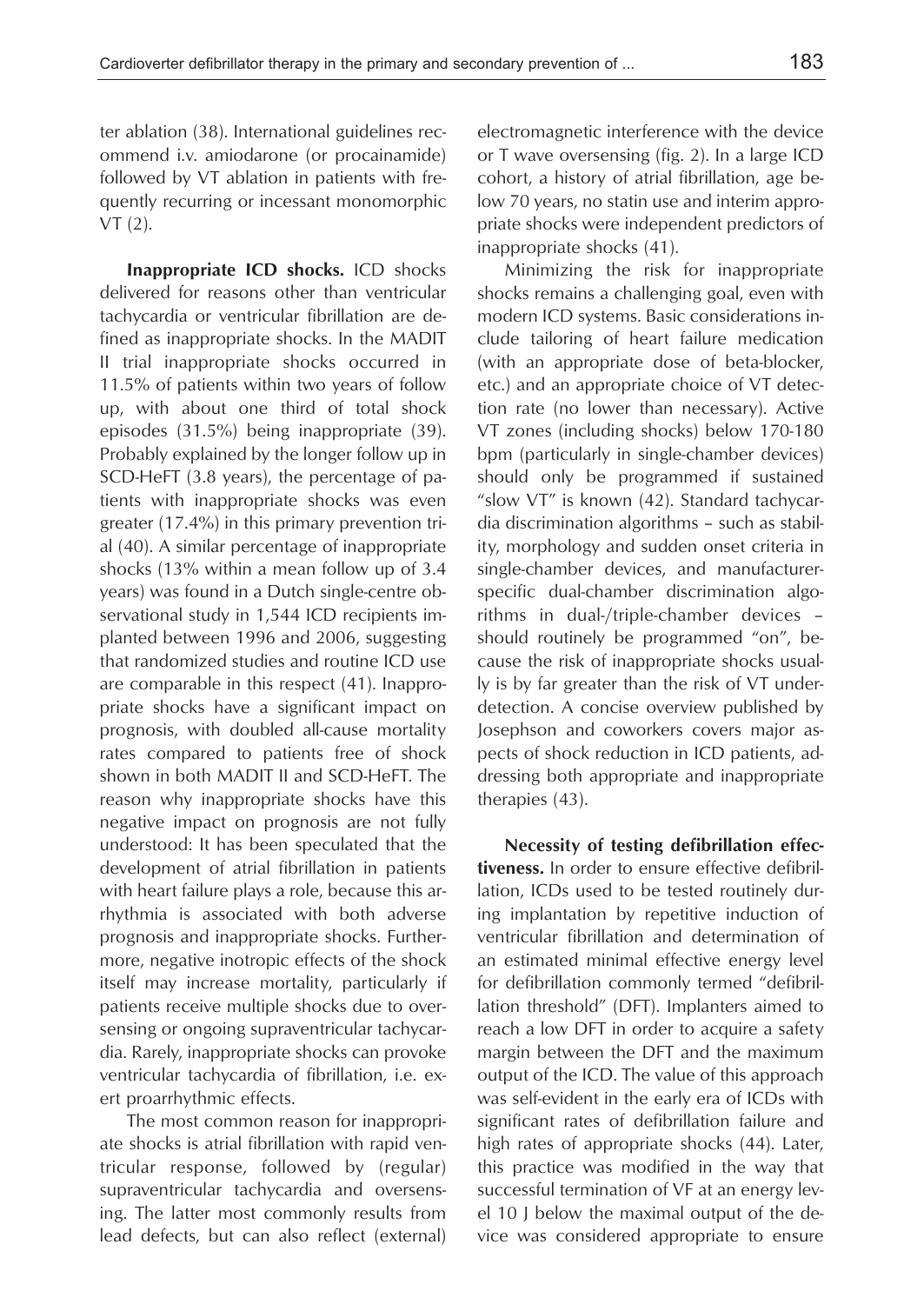ter ablation (38). International guidelines recommend i.v. amiodarone (or procainamide) followed by VT ablation in patients with frequently recurring or incessant monomorphic VT (2).

**Inappropriate ICD shocks.** ICD shocks delivered for reasons other than ventricular tachycardia or ventricular fibrillation are defined as inappropriate shocks. In the MADIT II trial inappropriate shocks occurred in 11.5% of patients within two years of follow up, with about one third of total shock episodes (31.5%) being inappropriate (39). Probably explained by the longer follow up in SCD-HeFT (3.8 years), the percentage of patients with inappropriate shocks was even greater (17.4%) in this primary prevention trial (40). A similar percentage of inappropriate shocks (13% within a mean follow up of 3.4 years) was found in a Dutch single-centre observational study in 1,544 ICD recipients implanted between 1996 and 2006, suggesting that randomized studies and routine ICD use are comparable in this respect (41). Inappropriate shocks have a significant impact on prognosis, with doubled all-cause mortality rates compared to patients free of shock shown in both MADIT II and SCD-HeFT. The reason why inappropriate shocks have this negative impact on prognosis are not fully understood: It has been speculated that the development of atrial fibrillation in patients with heart failure plays a role, because this arrhythmia is associated with both adverse prognosis and inappropriate shocks. Furthermore, negative inotropic effects of the shock itself may increase mortality, particularly if patients receive multiple shocks due to oversensing or ongoing supraventricular tachycardia. Rarely, inappropriate shocks can provoke ventricular tachycardia of fibrillation, i.e. exert proarrhythmic effects.

The most common reason for inappropriate shocks is atrial fibrillation with rapid ventricular response, followed by (regular) supraventricular tachycardia and oversensing. The latter most commonly results from lead defects, but can also reflect (external) electromagnetic interference with the device or T wave oversensing (fig. 2). In a large ICD cohort, a history of atrial fibrillation, age below 70 years, no statin use and interim appropriate shocks were independent predictors of inappropriate shocks (41).

Minimizing the risk for inappropriate shocks remains a challenging goal, even with modern ICD systems. Basic considerations include tailoring of heart failure medication (with an appropriate dose of beta-blocker, etc.) and an appropriate choice of VT detection rate (no lower than necessary). Active VT zones (including shocks) below 170-180 bpm (particularly in single-chamber devices) should only be programmed if sustained "slow VT" is known (42). Standard tachycardia discrimination algorithms – such as stability, morphology and sudden onset criteria in single-chamber devices, and manufacturerspecific dual-chamber discrimination algorithms in dual-/triple-chamber devices – should routinely be programmed "on", because the risk of inappropriate shocks usually is by far greater than the risk of VT underdetection. A concise overview published by Josephson and coworkers covers major aspects of shock reduction in ICD patients, addressing both appropriate and inappropriate therapies (43).

**Necessity of testing defibrillation effectiveness.** In order to ensure effective defibrillation, ICDs used to be tested routinely during implantation by repetitive induction of ventricular fibrillation and determination of an estimated minimal effective energy level for defibrillation commonly termed "defibrillation threshold" (DFT). Implanters aimed to reach a low DFT in order to acquire a safety margin between the DFT and the maximum output of the ICD. The value of this approach was self-evident in the early era of ICDs with significant rates of defibrillation failure and high rates of appropriate shocks (44). Later, this practice was modified in the way that successful termination of VF at an energy level 10 J below the maximal output of the device was considered appropriate to ensure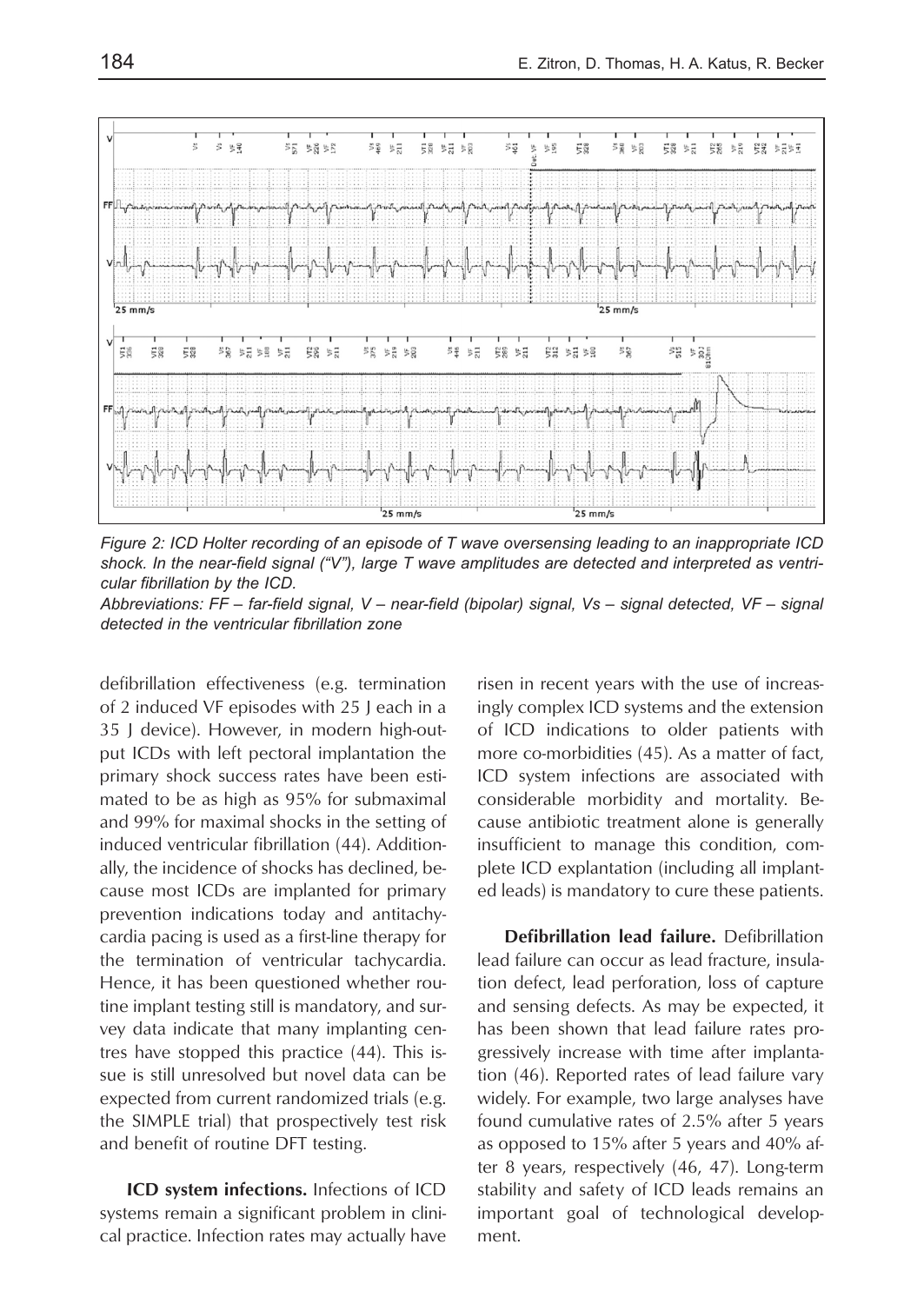

*Figure 2: ICD Holter recording of an episode of T wave oversensing leading to an inappropriate ICD shock. In the near-field signal ("V"), large T wave amplitudes are detected and interpreted as ventricular fibrillation by the ICD.*

*Abbreviations: FF – far-field signal, V – near-field (bipolar) signal, Vs – signal detected, VF – signal detected in the ventricular fibrillation zone*

defibrillation effectiveness (e.g. termination of 2 induced VF episodes with 25 J each in a 35 J device). However, in modern high-output ICDs with left pectoral implantation the primary shock success rates have been estimated to be as high as 95% for submaximal and 99% for maximal shocks in the setting of induced ventricular fibrillation (44). Additionally, the incidence of shocks has declined, because most ICDs are implanted for primary prevention indications today and antitachycardia pacing is used as a first-line therapy for the termination of ventricular tachycardia. Hence, it has been questioned whether routine implant testing still is mandatory, and survey data indicate that many implanting centres have stopped this practice (44). This issue is still unresolved but novel data can be expected from current randomized trials (e.g. the SIMPLE trial) that prospectively test risk and benefit of routine DFT testing.

**ICD system infections.** Infections of ICD systems remain a significant problem in clinical practice. Infection rates may actually have risen in recent years with the use of increasingly complex ICD systems and the extension of ICD indications to older patients with more co-morbidities (45). As a matter of fact, ICD system infections are associated with considerable morbidity and mortality. Because antibiotic treatment alone is generally insufficient to manage this condition, complete ICD explantation (including all implanted leads) is mandatory to cure these patients.

**Defibrillation lead failure.** Defibrillation lead failure can occur as lead fracture, insulation defect, lead perforation, loss of capture and sensing defects. As may be expected, it has been shown that lead failure rates progressively increase with time after implantation (46). Reported rates of lead failure vary widely. For example, two large analyses have found cumulative rates of 2.5% after 5 years as opposed to 15% after 5 years and 40% after 8 years, respectively (46, 47). Long-term stability and safety of ICD leads remains an important goal of technological development.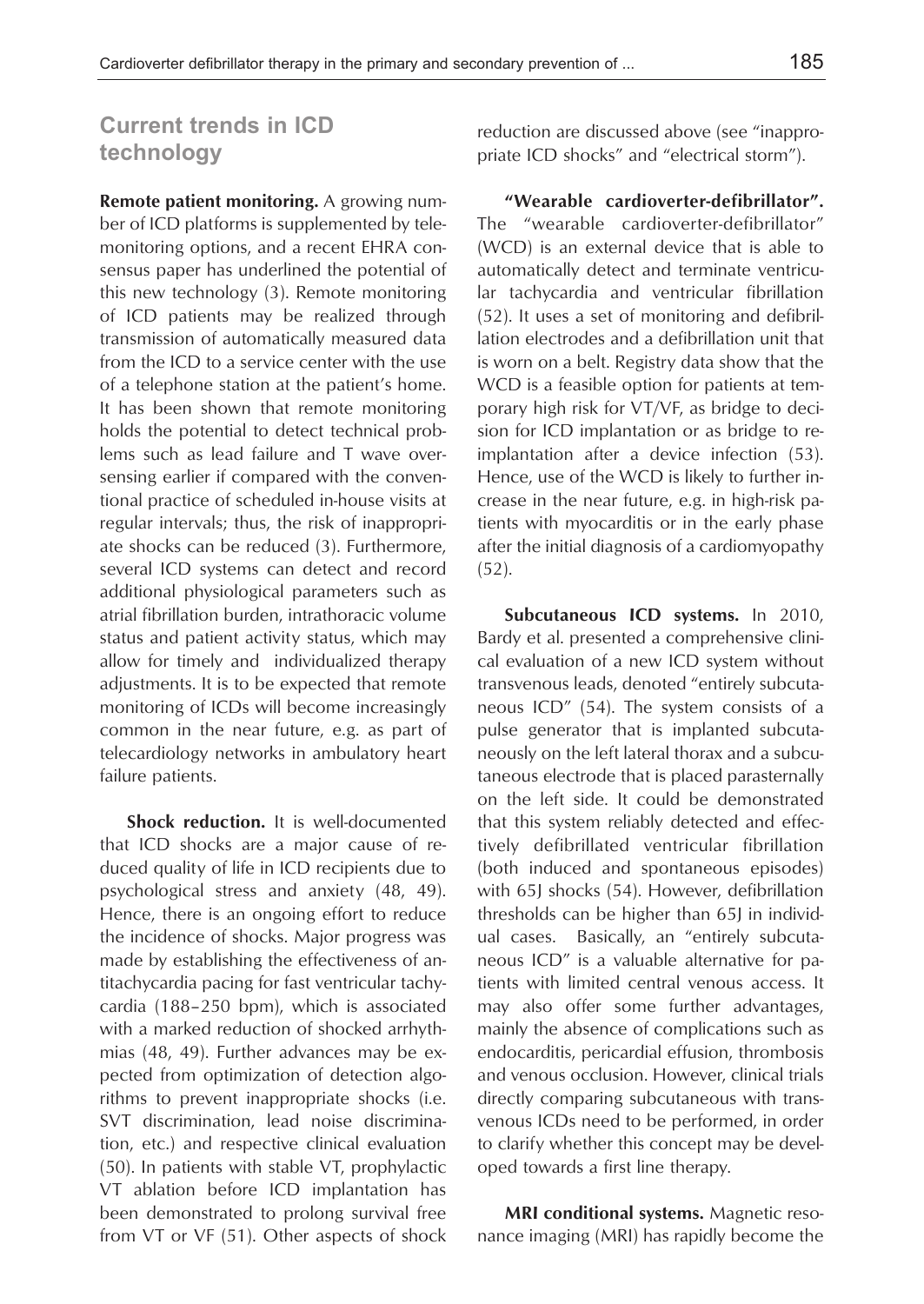# **Current trends in ICD technology**

**Remote patient monitoring.** A growing number of ICD platforms is supplemented by telemonitoring options, and a recent EHRA consensus paper has underlined the potential of this new technology (3). Remote monitoring of ICD patients may be realized through transmission of automatically measured data from the ICD to a service center with the use of a telephone station at the patient's home. It has been shown that remote monitoring holds the potential to detect technical problems such as lead failure and T wave oversensing earlier if compared with the conventional practice of scheduled in-house visits at regular intervals; thus, the risk of inappropriate shocks can be reduced (3). Furthermore, several ICD systems can detect and record additional physiological parameters such as atrial fibrillation burden, intrathoracic volume status and patient activity status, which may allow for timely and individualized therapy adjustments. It is to be expected that remote monitoring of ICDs will become increasingly common in the near future, e.g. as part of telecardiology networks in ambulatory heart failure patients.

**Shock reduction.** It is well-documented that ICD shocks are a major cause of reduced quality of life in ICD recipients due to psychological stress and anxiety (48, 49). Hence, there is an ongoing effort to reduce the incidence of shocks. Major progress was made by establishing the effectiveness of antitachycardia pacing for fast ventricular tachycardia (188–250 bpm), which is associated with a marked reduction of shocked arrhythmias (48, 49). Further advances may be expected from optimization of detection algorithms to prevent inappropriate shocks (i.e. SVT discrimination, lead noise discrimination, etc.) and respective clinical evaluation (50). In patients with stable VT, prophylactic VT ablation before ICD implantation has been demonstrated to prolong survival free from VT or VF (51). Other aspects of shock reduction are discussed above (see "inappropriate ICD shocks" and "electrical storm").

**"Wearable cardioverter-defibrillator".** The "wearable cardioverter-defibrillator" (WCD) is an external device that is able to automatically detect and terminate ventricular tachycardia and ventricular fibrillation (52). It uses a set of monitoring and defibrillation electrodes and a defibrillation unit that is worn on a belt. Registry data show that the WCD is a feasible option for patients at temporary high risk for VT/VF, as bridge to decision for ICD implantation or as bridge to reimplantation after a device infection (53). Hence, use of the WCD is likely to further increase in the near future, e.g. in high-risk patients with myocarditis or in the early phase after the initial diagnosis of a cardiomyopathy (52).

**Subcutaneous ICD systems.** In 2010, Bardy et al. presented a comprehensive clinical evaluation of a new ICD system without transvenous leads, denoted "entirely subcutaneous ICD" (54). The system consists of a pulse generator that is implanted subcutaneously on the left lateral thorax and a subcutaneous electrode that is placed parasternally on the left side. It could be demonstrated that this system reliably detected and effectively defibrillated ventricular fibrillation (both induced and spontaneous episodes) with 65J shocks (54). However, defibrillation thresholds can be higher than 65J in individual cases. Basically, an "entirely subcutaneous ICD" is a valuable alternative for patients with limited central venous access. It may also offer some further advantages, mainly the absence of complications such as endocarditis, pericardial effusion, thrombosis and venous occlusion. However, clinical trials directly comparing subcutaneous with transvenous ICDs need to be performed, in order to clarify whether this concept may be developed towards a first line therapy.

**MRI conditional systems.** Magnetic resonance imaging (MRI) has rapidly become the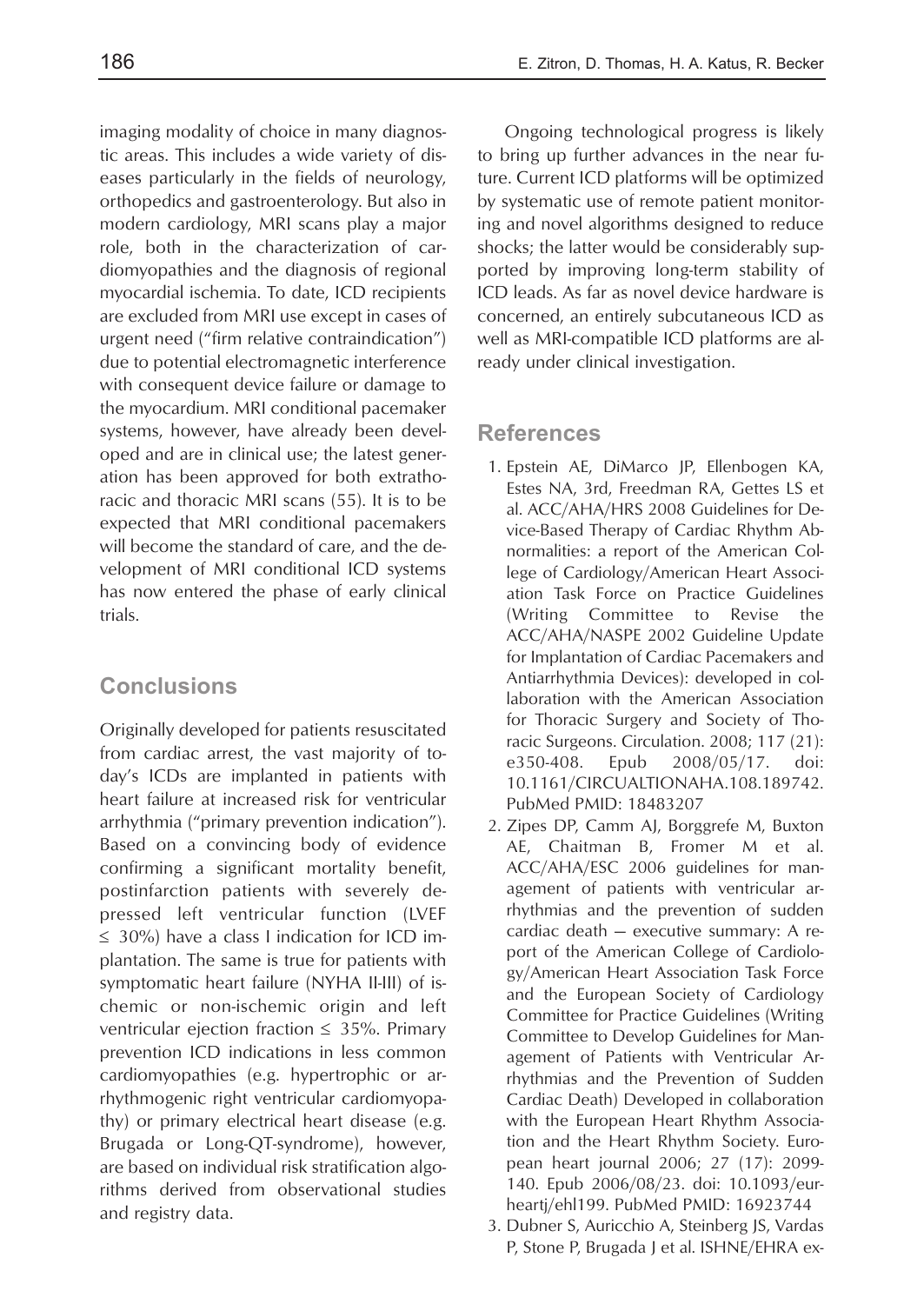imaging modality of choice in many diagnostic areas. This includes a wide variety of diseases particularly in the fields of neurology, orthopedics and gastroenterology. But also in modern cardiology, MRI scans play a major role, both in the characterization of cardiomyopathies and the diagnosis of regional myocardial ischemia. To date, ICD recipients are excluded from MRI use except in cases of urgent need ("firm relative contraindication") due to potential electromagnetic interference with consequent device failure or damage to the myocardium. MRI conditional pacemaker systems, however, have already been developed and are in clinical use; the latest generation has been approved for both extrathoracic and thoracic MRI scans (55). It is to be expected that MRI conditional pacemakers will become the standard of care, and the development of MRI conditional ICD systems has now entered the phase of early clinical trials.

#### **Conclusions**

Originally developed for patients resuscitated from cardiac arrest, the vast majority of today's ICDs are implanted in patients with heart failure at increased risk for ventricular arrhythmia ("primary prevention indication"). Based on a convincing body of evidence confirming a significant mortality benefit, postinfarction patients with severely depressed left ventricular function (LVEF  $\leq$  30%) have a class I indication for ICD implantation. The same is true for patients with symptomatic heart failure (NYHA II-III) of ischemic or non-ischemic origin and left ventricular ejection fraction  $\leq$  35%. Primary prevention ICD indications in less common cardiomyopathies (e.g. hypertrophic or arrhythmogenic right ventricular cardiomyopathy) or primary electrical heart disease (e.g. Brugada or Long-QT-syndrome), however, are based on individual risk stratification algorithms derived from observational studies and registry data.

Ongoing technological progress is likely to bring up further advances in the near future. Current ICD platforms will be optimized by systematic use of remote patient monitoring and novel algorithms designed to reduce shocks; the latter would be considerably supported by improving long-term stability of ICD leads. As far as novel device hardware is concerned, an entirely subcutaneous ICD as well as MRI-compatible ICD platforms are already under clinical investigation.

#### **References**

- 1. Epstein AE, DiMarco JP, Ellenbogen KA, Estes NA, 3rd, Freedman RA, Gettes LS et al. ACC/AHA/HRS 2008 Guidelines for Device-Based Therapy of Cardiac Rhythm Abnormalities: a report of the American College of Cardiology/American Heart Association Task Force on Practice Guidelines (Writing Committee to Revise the ACC/AHA/NASPE 2002 Guideline Update for Implantation of Cardiac Pacemakers and Antiarrhythmia Devices): developed in collaboration with the American Association for Thoracic Surgery and Society of Thoracic Surgeons. Circulation. 2008; 117 (21): e350-408. Epub 2008/05/17. doi: 10.1161/CIRCUALTIONAHA.108.189742. PubMed PMID: 18483207
- 2. Zipes DP, Camm AJ, Borggrefe M, Buxton AE, Chaitman B, Fromer M et al. ACC/AHA/ESC 2006 guidelines for management of patients with ventricular arrhythmias and the prevention of sudden cardiac death — executive summary: A report of the American College of Cardiology/American Heart Association Task Force and the European Society of Cardiology Committee for Practice Guidelines (Writing Committee to Develop Guidelines for Management of Patients with Ventricular Arrhythmias and the Prevention of Sudden Cardiac Death) Developed in collaboration with the European Heart Rhythm Association and the Heart Rhythm Society. European heart journal 2006; 27 (17): 2099- 140. Epub 2006/08/23. doi: 10.1093/eurheartj/ehl199. PubMed PMID: 16923744
- 3. Dubner S, Auricchio A, Steinberg JS, Vardas P, Stone P, Brugada J et al. ISHNE/EHRA ex-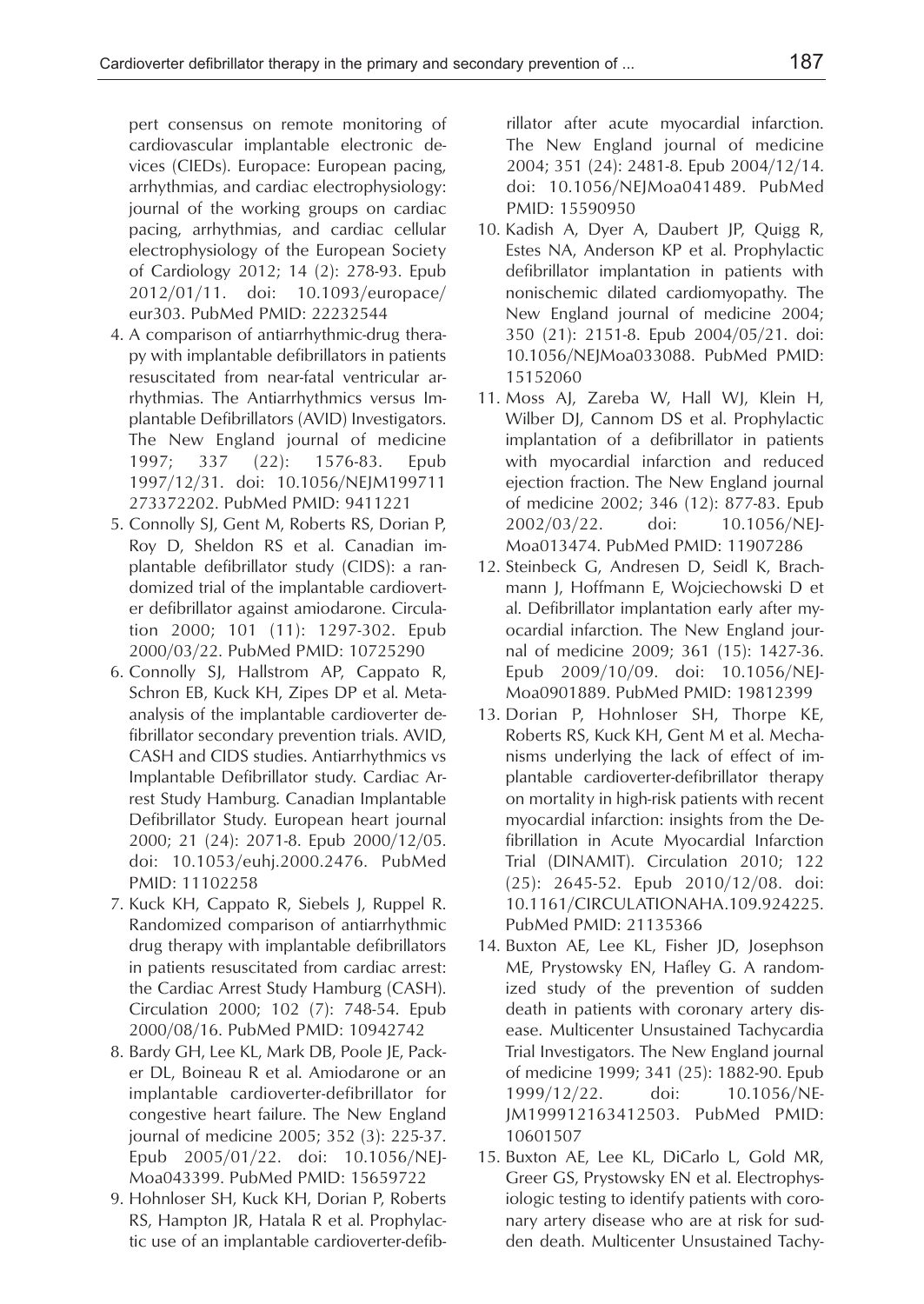pert consensus on remote monitoring of cardiovascular implantable electronic devices (CIEDs). Europace: European pacing, arrhythmias, and cardiac electrophysiology: journal of the working groups on cardiac pacing, arrhythmias, and cardiac cellular electrophysiology of the European Society of Cardiology 2012; 14 (2): 278-93. Epub 2012/01/11. doi: 10.1093/europace/ eur303. PubMed PMID: 22232544

- 4. A comparison of antiarrhythmic-drug therapy with implantable defibrillators in patients resuscitated from near-fatal ventricular arrhythmias. The Antiarrhythmics versus Implantable Defibrillators (AVID) Investigators. The New England journal of medicine 1997; 337 (22): 1576-83. Epub 1997/12/31. doi: 10.1056/NEJM199711 273372202. PubMed PMID: 9411221
- 5. Connolly SJ, Gent M, Roberts RS, Dorian P, Roy D, Sheldon RS et al. Canadian implantable defibrillator study (CIDS): a randomized trial of the implantable cardioverter defibrillator against amiodarone. Circulation 2000; 101 (11): 1297-302. Epub 2000/03/22. PubMed PMID: 10725290
- 6. Connolly SJ, Hallstrom AP, Cappato R, Schron EB, Kuck KH, Zipes DP et al. Metaanalysis of the implantable cardioverter defibrillator secondary prevention trials. AVID, CASH and CIDS studies. Antiarrhythmics vs Implantable Defibrillator study. Cardiac Arrest Study Hamburg. Canadian Implantable Defibrillator Study. European heart journal 2000; 21 (24): 2071-8. Epub 2000/12/05. doi: 10.1053/euhj.2000.2476. PubMed PMID: 11102258
- 7. Kuck KH, Cappato R, Siebels J, Ruppel R. Randomized comparison of antiarrhythmic drug therapy with implantable defibrillators in patients resuscitated from cardiac arrest: the Cardiac Arrest Study Hamburg (CASH). Circulation 2000; 102 (7): 748-54. Epub 2000/08/16. PubMed PMID: 10942742
- 8. Bardy GH, Lee KL, Mark DB, Poole JE, Packer DL, Boineau R et al. Amiodarone or an implantable cardioverter-defibrillator for congestive heart failure. The New England journal of medicine 2005; 352 (3): 225-37. Epub 2005/01/22. doi: 10.1056/NEJ-Moa043399. PubMed PMID: 15659722
- 9. Hohnloser SH, Kuck KH, Dorian P, Roberts RS, Hampton JR, Hatala R et al. Prophylactic use of an implantable cardioverter-defib-

rillator after acute myocardial infarction. The New England journal of medicine 2004; 351 (24): 2481-8. Epub 2004/12/14. doi: 10.1056/NEJMoa041489. PubMed PMID: 15590950

- 10. Kadish A, Dyer A, Daubert JP, Quigg R, Estes NA, Anderson KP et al. Prophylactic defibrillator implantation in patients with nonischemic dilated cardiomyopathy. The New England journal of medicine 2004; 350 (21): 2151-8. Epub 2004/05/21. doi: 10.1056/NEJMoa033088. PubMed PMID: 15152060
- 11. Moss AJ, Zareba W, Hall WJ, Klein H, Wilber DJ, Cannom DS et al. Prophylactic implantation of a defibrillator in patients with myocardial infarction and reduced ejection fraction. The New England journal of medicine 2002; 346 (12): 877-83. Epub 2002/03/22. doi: 10.1056/NEJ-Moa013474. PubMed PMID: 11907286
- 12. Steinbeck G, Andresen D, Seidl K, Brachmann J, Hoffmann E, Wojciechowski D et al. Defibrillator implantation early after myocardial infarction. The New England journal of medicine 2009; 361 (15): 1427-36. Epub 2009/10/09. doi: 10.1056/NEJ-Moa0901889. PubMed PMID: 19812399
- 13. Dorian P, Hohnloser SH, Thorpe KE, Roberts RS, Kuck KH, Gent M et al. Mechanisms underlying the lack of effect of implantable cardioverter-defibrillator therapy on mortality in high-risk patients with recent myocardial infarction: insights from the Defibrillation in Acute Myocardial Infarction Trial (DINAMIT). Circulation 2010; 122 (25): 2645-52. Epub 2010/12/08. doi: 10.1161/CIRCULATIONAHA.109.924225. PubMed PMID: 21135366
- 14. Buxton AE, Lee KL, Fisher JD, Josephson ME, Prystowsky EN, Hafley G. A randomized study of the prevention of sudden death in patients with coronary artery disease. Multicenter Unsustained Tachycardia Trial Investigators. The New England journal of medicine 1999; 341 (25): 1882-90. Epub 1999/12/22. doi: 10.1056/NE-JM199912163412503. PubMed PMID: 10601507
- 15. Buxton AE, Lee KL, DiCarlo L, Gold MR, Greer GS, Prystowsky EN et al. Electrophysiologic testing to identify patients with coronary artery disease who are at risk for sudden death. Multicenter Unsustained Tachy-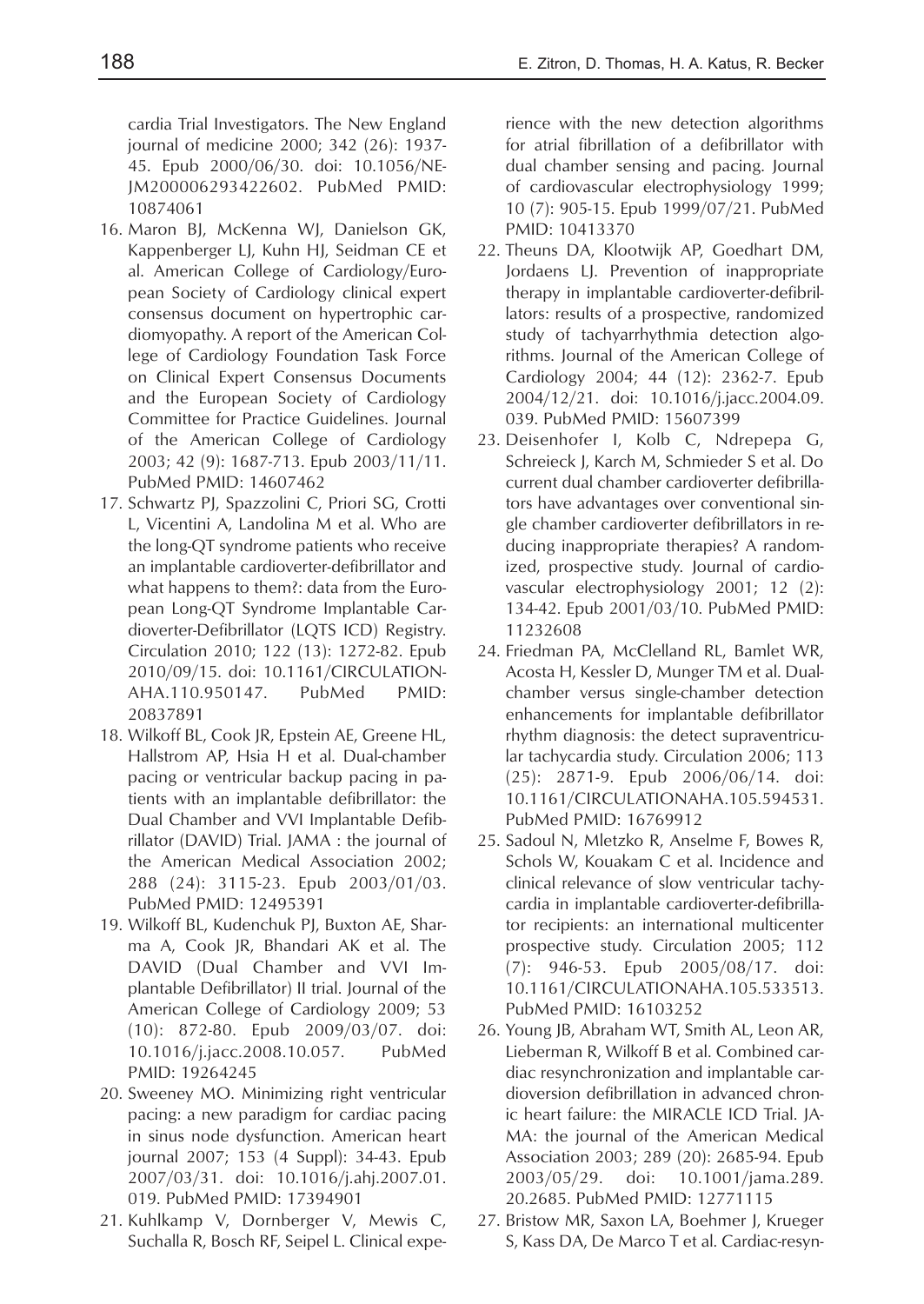cardia Trial Investigators. The New England journal of medicine 2000; 342 (26): 1937- 45. Epub 2000/06/30. doi: 10.1056/NE-JM200006293422602. PubMed PMID: 10874061

- 16. Maron BJ, McKenna WJ, Danielson GK, Kappenberger LJ, Kuhn HJ, Seidman CE et al. American College of Cardiology/European Society of Cardiology clinical expert consensus document on hypertrophic cardiomyopathy. A report of the American College of Cardiology Foundation Task Force on Clinical Expert Consensus Documents and the European Society of Cardiology Committee for Practice Guidelines. Journal of the American College of Cardiology 2003; 42 (9): 1687-713. Epub 2003/11/11. PubMed PMID: 14607462
- 17. Schwartz PJ, Spazzolini C, Priori SG, Crotti L, Vicentini A, Landolina M et al. Who are the long-QT syndrome patients who receive an implantable cardioverter-defibrillator and what happens to them?: data from the European Long-QT Syndrome Implantable Cardioverter-Defibrillator (LQTS ICD) Registry. Circulation 2010; 122 (13): 1272-82. Epub 2010/09/15. doi: 10.1161/CIRCULATION-AHA.110.950147. PubMed PMID: 20837891
- 18. Wilkoff BL, Cook JR, Epstein AE, Greene HL, Hallstrom AP, Hsia H et al. Dual-chamber pacing or ventricular backup pacing in patients with an implantable defibrillator: the Dual Chamber and VVI Implantable Defibrillator (DAVID) Trial. JAMA : the journal of the American Medical Association 2002; 288 (24): 3115-23. Epub 2003/01/03. PubMed PMID: 12495391
- 19. Wilkoff BL, Kudenchuk PJ, Buxton AE, Sharma A, Cook JR, Bhandari AK et al. The DAVID (Dual Chamber and VVI Implantable Defibrillator) II trial. Journal of the American College of Cardiology 2009; 53 (10): 872-80. Epub 2009/03/07. doi: 10.1016/j.jacc.2008.10.057. PubMed PMID: 19264245
- 20. Sweeney MO. Minimizing right ventricular pacing: a new paradigm for cardiac pacing in sinus node dysfunction. American heart journal 2007; 153 (4 Suppl): 34-43. Epub 2007/03/31. doi: 10.1016/j.ahj.2007.01. 019. PubMed PMID: 17394901
- 21. Kuhlkamp V, Dornberger V, Mewis C, Suchalla R, Bosch RF, Seipel L. Clinical expe-

rience with the new detection algorithms for atrial fibrillation of a defibrillator with dual chamber sensing and pacing. Journal of cardiovascular electrophysiology 1999; 10 (7): 905-15. Epub 1999/07/21. PubMed PMID: 10413370

- 22. Theuns DA, Klootwijk AP, Goedhart DM, Jordaens LJ. Prevention of inappropriate therapy in implantable cardioverter-defibrillators: results of a prospective, randomized study of tachyarrhythmia detection algorithms. Journal of the American College of Cardiology 2004; 44 (12): 2362-7. Epub 2004/12/21. doi: 10.1016/j.jacc.2004.09. 039. PubMed PMID: 15607399
- 23. Deisenhofer I, Kolb C, Ndrepepa G, Schreieck J, Karch M, Schmieder S et al. Do current dual chamber cardioverter defibrillators have advantages over conventional single chamber cardioverter defibrillators in reducing inappropriate therapies? A randomized, prospective study. Journal of cardiovascular electrophysiology 2001; 12 (2): 134-42. Epub 2001/03/10. PubMed PMID: 11232608
- 24. Friedman PA, McClelland RL, Bamlet WR, Acosta H, Kessler D, Munger TM et al. Dualchamber versus single-chamber detection enhancements for implantable defibrillator rhythm diagnosis: the detect supraventricular tachycardia study. Circulation 2006; 113 (25): 2871-9. Epub 2006/06/14. doi: 10.1161/CIRCULATIONAHA.105.594531. PubMed PMID: 16769912
- 25. Sadoul N, Mletzko R, Anselme F, Bowes R, Schols W, Kouakam C et al. Incidence and clinical relevance of slow ventricular tachycardia in implantable cardioverter-defibrillator recipients: an international multicenter prospective study. Circulation 2005; 112 (7): 946-53. Epub 2005/08/17. doi: 10.1161/CIRCULATIONAHA.105.533513. PubMed PMID: 16103252
- 26. Young JB, Abraham WT, Smith AL, Leon AR, Lieberman R, Wilkoff B et al. Combined cardiac resynchronization and implantable cardioversion defibrillation in advanced chronic heart failure: the MIRACLE ICD Trial. JA-MA: the journal of the American Medical Association 2003; 289 (20): 2685-94. Epub 2003/05/29. doi: 10.1001/jama.289. 20.2685. PubMed PMID: 12771115
- 27. Bristow MR, Saxon LA, Boehmer J, Krueger S, Kass DA, De Marco T et al. Cardiac-resyn-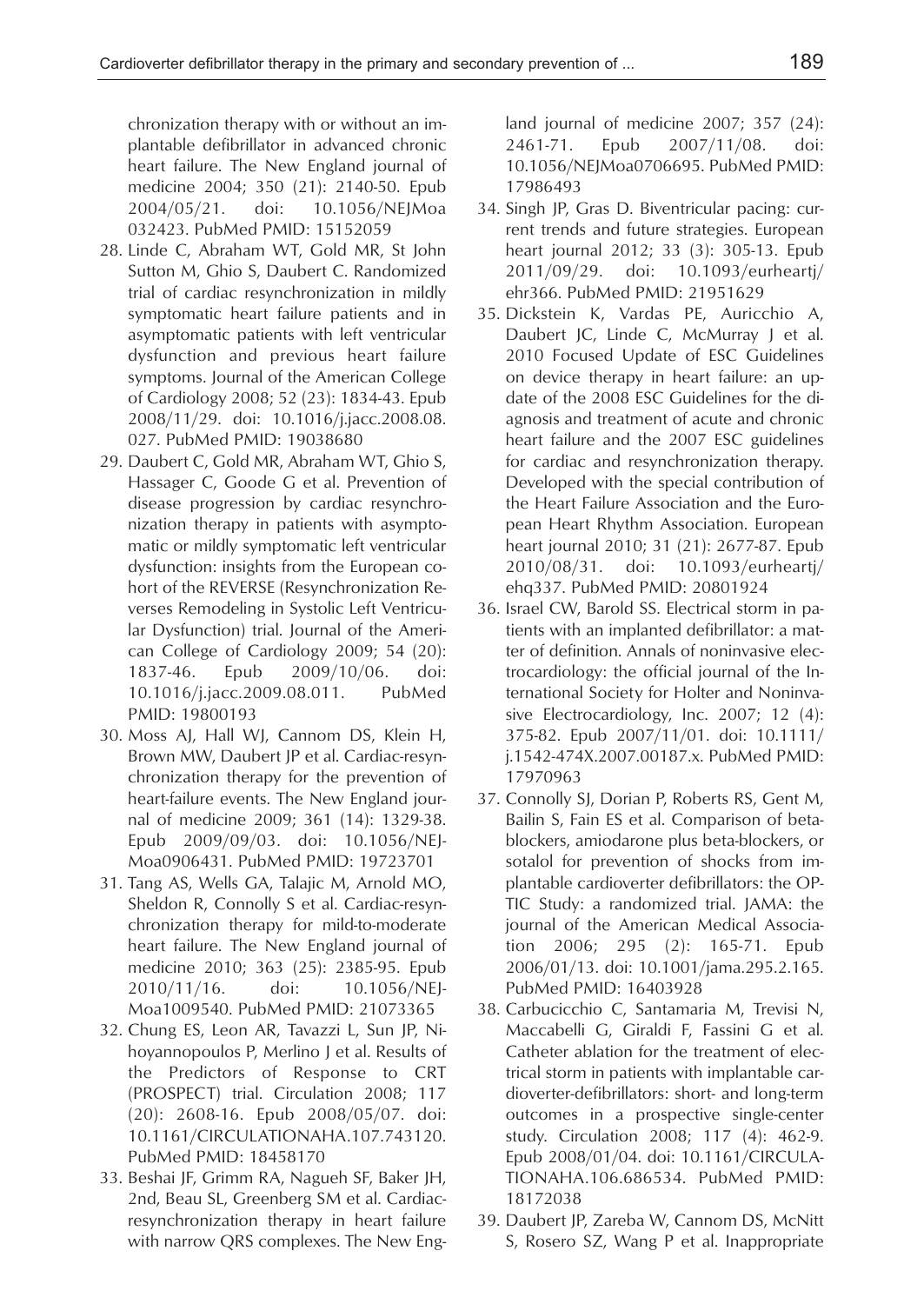chronization therapy with or without an implantable defibrillator in advanced chronic heart failure. The New England journal of medicine 2004; 350 (21): 2140-50. Epub 2004/05/21. doi: 10.1056/NEJMoa 032423. PubMed PMID: 15152059

- 28. Linde C, Abraham WT, Gold MR, St John Sutton M, Ghio S, Daubert C. Randomized trial of cardiac resynchronization in mildly symptomatic heart failure patients and in asymptomatic patients with left ventricular dysfunction and previous heart failure symptoms. Journal of the American College of Cardiology 2008; 52 (23): 1834-43. Epub 2008/11/29. doi: 10.1016/j.jacc.2008.08. 027. PubMed PMID: 19038680
- 29. Daubert C, Gold MR, Abraham WT, Ghio S, Hassager C, Goode G et al. Prevention of disease progression by cardiac resynchronization therapy in patients with asymptomatic or mildly symptomatic left ventricular dysfunction: insights from the European cohort of the REVERSE (Resynchronization Reverses Remodeling in Systolic Left Ventricular Dysfunction) trial. Journal of the American College of Cardiology 2009; 54 (20): 1837-46. Epub 2009/10/06. doi: 10.1016/j.jacc.2009.08.011. PubMed PMID: 19800193
- 30. Moss AJ, Hall WJ, Cannom DS, Klein H, Brown MW, Daubert JP et al. Cardiac-resynchronization therapy for the prevention of heart-failure events. The New England journal of medicine 2009; 361 (14): 1329-38. Epub 2009/09/03. doi: 10.1056/NEJ-Moa0906431. PubMed PMID: 19723701
- 31. Tang AS, Wells GA, Talajic M, Arnold MO, Sheldon R, Connolly S et al. Cardiac-resynchronization therapy for mild-to-moderate heart failure. The New England journal of medicine 2010; 363 (25): 2385-95. Epub 2010/11/16. doi: 10.1056/NEJ-Moa1009540. PubMed PMID: 21073365
- 32. Chung ES, Leon AR, Tavazzi L, Sun JP, Nihoyannopoulos P, Merlino J et al. Results of the Predictors of Response to CRT (PROSPECT) trial. Circulation 2008; 117 (20): 2608-16. Epub 2008/05/07. doi: 10.1161/CIRCULATIONAHA.107.743120. PubMed PMID: 18458170
- 33. Beshai JF, Grimm RA, Nagueh SF, Baker JH, 2nd, Beau SL, Greenberg SM et al. Cardiacresynchronization therapy in heart failure with narrow QRS complexes. The New Eng-

land journal of medicine 2007; 357 (24): 2461-71. Epub 2007/11/08. doi: 10.1056/NEJMoa0706695. PubMed PMID: 17986493

- 34. Singh JP, Gras D. Biventricular pacing: current trends and future strategies. European heart journal 2012; 33 (3): 305-13. Epub 2011/09/29. doi: 10.1093/eurheartj/ ehr366. PubMed PMID: 21951629
- 35. Dickstein K, Vardas PE, Auricchio A, Daubert JC, Linde C, McMurray J et al. 2010 Focused Update of ESC Guidelines on device therapy in heart failure: an update of the 2008 ESC Guidelines for the diagnosis and treatment of acute and chronic heart failure and the 2007 ESC guidelines for cardiac and resynchronization therapy. Developed with the special contribution of the Heart Failure Association and the European Heart Rhythm Association. European heart journal 2010; 31 (21): 2677-87. Epub 2010/08/31. doi: 10.1093/eurheartj/ ehq337. PubMed PMID: 20801924
- 36. Israel CW, Barold SS. Electrical storm in patients with an implanted defibrillator: a matter of definition. Annals of noninvasive electrocardiology: the official journal of the International Society for Holter and Noninvasive Electrocardiology, Inc. 2007; 12 (4): 375-82. Epub 2007/11/01. doi: 10.1111/ j.1542-474X.2007.00187.x. PubMed PMID: 17970963
- 37. Connolly SJ, Dorian P, Roberts RS, Gent M, Bailin S, Fain ES et al. Comparison of betablockers, amiodarone plus beta-blockers, or sotalol for prevention of shocks from implantable cardioverter defibrillators: the OP-TIC Study: a randomized trial. JAMA: the journal of the American Medical Association 2006; 295 (2): 165-71. Epub 2006/01/13. doi: 10.1001/jama.295.2.165. PubMed PMID: 16403928
- 38. Carbucicchio C, Santamaria M, Trevisi N, Maccabelli G, Giraldi F, Fassini G et al. Catheter ablation for the treatment of electrical storm in patients with implantable cardioverter-defibrillators: short- and long-term outcomes in a prospective single-center study. Circulation 2008; 117 (4): 462-9. Epub 2008/01/04. doi: 10.1161/CIRCULA-TIONAHA.106.686534. PubMed PMID: 18172038
- 39. Daubert JP, Zareba W, Cannom DS, McNitt S, Rosero SZ, Wang P et al. Inappropriate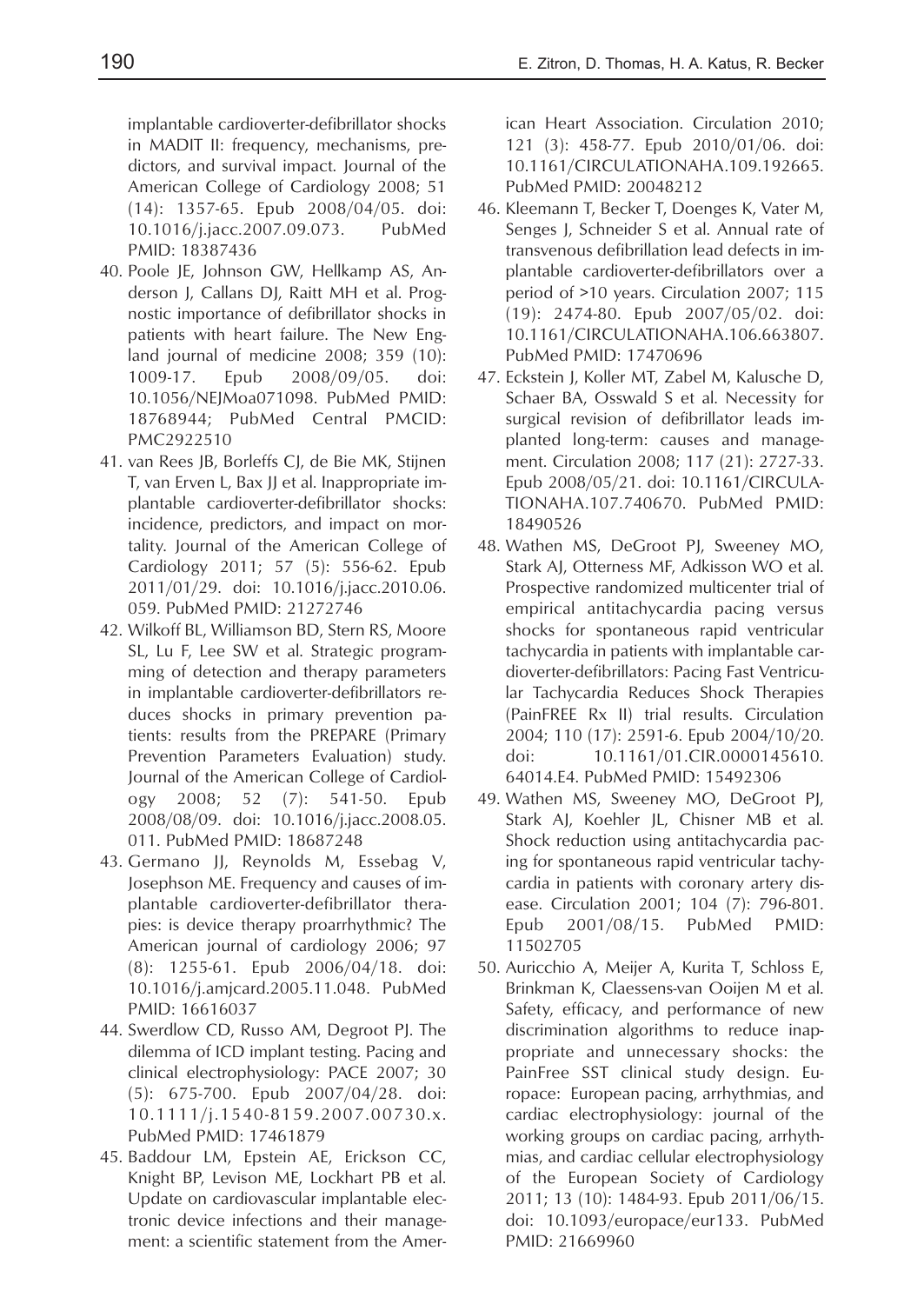implantable cardioverter-defibrillator shocks in MADIT II: frequency, mechanisms, predictors, and survival impact. Journal of the American College of Cardiology 2008; 51 (14): 1357-65. Epub 2008/04/05. doi: 10.1016/j.jacc.2007.09.073. PubMed PMID: 18387436

- 40. Poole JE, Johnson GW, Hellkamp AS, Anderson J, Callans DJ, Raitt MH et al. Prognostic importance of defibrillator shocks in patients with heart failure. The New England journal of medicine 2008; 359 (10): 1009-17. Epub 2008/09/05. doi: 10.1056/NEJMoa071098. PubMed PMID: 18768944; PubMed Central PMCID: PMC2922510
- 41. van Rees JB, Borleffs CJ, de Bie MK, Stijnen T, van Erven L, Bax JJ et al. Inappropriate implantable cardioverter-defibrillator shocks: incidence, predictors, and impact on mortality. Journal of the American College of Cardiology 2011; 57 (5): 556-62. Epub 2011/01/29. doi: 10.1016/j.jacc.2010.06. 059. PubMed PMID: 21272746
- 42. Wilkoff BL, Williamson BD, Stern RS, Moore SL, Lu F, Lee SW et al. Strategic programming of detection and therapy parameters in implantable cardioverter-defibrillators reduces shocks in primary prevention patients: results from the PREPARE (Primary Prevention Parameters Evaluation) study. Journal of the American College of Cardiology 2008; 52 (7): 541-50. Epub 2008/08/09. doi: 10.1016/j.jacc.2008.05. 011. PubMed PMID: 18687248
- 43. Germano JJ, Reynolds M, Essebag V, Josephson ME. Frequency and causes of implantable cardioverter-defibrillator therapies: is device therapy proarrhythmic? The American journal of cardiology 2006; 97 (8): 1255-61. Epub 2006/04/18. doi: 10.1016/j.amjcard.2005.11.048. PubMed PMID: 16616037
- 44. Swerdlow CD, Russo AM, Degroot PJ. The dilemma of ICD implant testing. Pacing and clinical electrophysiology: PACE 2007; 30 (5): 675-700. Epub 2007/04/28. doi: 10.1111/j.1540-8159.2007.00730.x. PubMed PMID: 17461879
- 45. Baddour LM, Epstein AE, Erickson CC, Knight BP, Levison ME, Lockhart PB et al. Update on cardiovascular implantable electronic device infections and their management: a scientific statement from the Amer-

ican Heart Association. Circulation 2010; 121 (3): 458-77. Epub 2010/01/06. doi: 10.1161/CIRCULATIONAHA.109.192665. PubMed PMID: 20048212

- 46. Kleemann T, Becker T, Doenges K, Vater M, Senges J, Schneider S et al. Annual rate of transvenous defibrillation lead defects in implantable cardioverter-defibrillators over a period of >10 years. Circulation 2007; 115 (19): 2474-80. Epub 2007/05/02. doi: 10.1161/CIRCULATIONAHA.106.663807. PubMed PMID: 17470696
- 47. Eckstein J, Koller MT, Zabel M, Kalusche D, Schaer BA, Osswald S et al. Necessity for surgical revision of defibrillator leads implanted long-term: causes and management. Circulation 2008; 117 (21): 2727-33. Epub 2008/05/21. doi: 10.1161/CIRCULA-TIONAHA.107.740670. PubMed PMID: 18490526
- 48. Wathen MS, DeGroot PJ, Sweeney MO, Stark AJ, Otterness MF, Adkisson WO et al. Prospective randomized multicenter trial of empirical antitachycardia pacing versus shocks for spontaneous rapid ventricular tachycardia in patients with implantable cardioverter-defibrillators: Pacing Fast Ventricular Tachycardia Reduces Shock Therapies (PainFREE Rx II) trial results. Circulation 2004; 110 (17): 2591-6. Epub 2004/10/20. doi: 10.1161/01.CIR.0000145610. 64014.E4. PubMed PMID: 15492306
- 49. Wathen MS, Sweeney MO, DeGroot PJ, Stark AJ, Koehler JL, Chisner MB et al. Shock reduction using antitachycardia pacing for spontaneous rapid ventricular tachycardia in patients with coronary artery disease. Circulation 2001; 104 (7): 796-801. Epub 2001/08/15. PubMed PMID: 11502705
- 50. Auricchio A, Meijer A, Kurita T, Schloss E, Brinkman K, Claessens-van Ooijen M et al. Safety, efficacy, and performance of new discrimination algorithms to reduce inappropriate and unnecessary shocks: the PainFree SST clinical study design. Europace: European pacing, arrhythmias, and cardiac electrophysiology: journal of the working groups on cardiac pacing, arrhythmias, and cardiac cellular electrophysiology of the European Society of Cardiology 2011; 13 (10): 1484-93. Epub 2011/06/15. doi: 10.1093/europace/eur133. PubMed PMID: 21669960